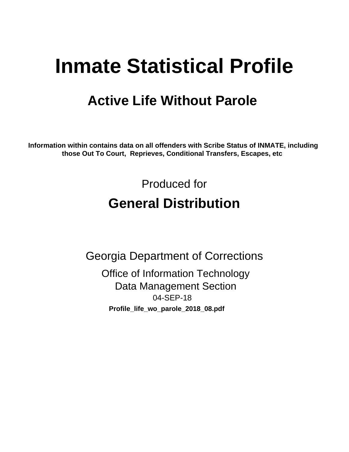# **Inmate Statistical Profile**

# **Active Life Without Parole**

Information within contains data on all offenders with Scribe Status of INMATE, including those Out To Court, Reprieves, Conditional Transfers, Escapes, etc

> Produced for **General Distribution**

**Georgia Department of Corrections Office of Information Technology Data Management Section** 04-SEP-18 Profile\_life\_wo\_parole\_2018\_08.pdf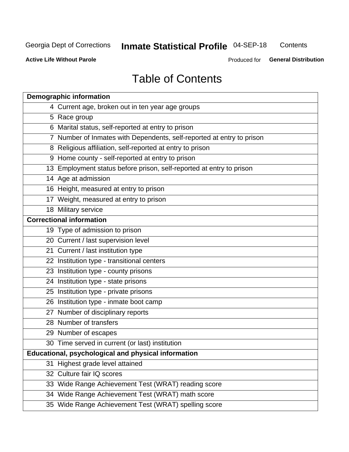#### Inmate Statistical Profile 04-SEP-18 Contents

**Active Life Without Parole** 

Produced for General Distribution

## **Table of Contents**

|    | <b>Demographic information</b>                                        |
|----|-----------------------------------------------------------------------|
|    | 4 Current age, broken out in ten year age groups                      |
|    | 5 Race group                                                          |
|    | 6 Marital status, self-reported at entry to prison                    |
|    | 7 Number of Inmates with Dependents, self-reported at entry to prison |
|    | 8 Religious affiliation, self-reported at entry to prison             |
|    | 9 Home county - self-reported at entry to prison                      |
|    | 13 Employment status before prison, self-reported at entry to prison  |
|    | 14 Age at admission                                                   |
|    | 16 Height, measured at entry to prison                                |
|    | 17 Weight, measured at entry to prison                                |
|    | 18 Military service                                                   |
|    | <b>Correctional information</b>                                       |
|    | 19 Type of admission to prison                                        |
|    | 20 Current / last supervision level                                   |
|    | 21 Current / last institution type                                    |
|    | 22 Institution type - transitional centers                            |
|    | 23 Institution type - county prisons                                  |
|    | 24 Institution type - state prisons                                   |
|    | 25 Institution type - private prisons                                 |
|    | 26 Institution type - inmate boot camp                                |
|    | 27 Number of disciplinary reports                                     |
|    | 28 Number of transfers                                                |
|    | 29 Number of escapes                                                  |
|    | 30 Time served in current (or last) institution                       |
|    | Educational, psychological and physical information                   |
| 31 | Highest grade level attained                                          |
|    | 32 Culture fair IQ scores                                             |
|    | 33 Wide Range Achievement Test (WRAT) reading score                   |
|    | 34 Wide Range Achievement Test (WRAT) math score                      |
|    | 35 Wide Range Achievement Test (WRAT) spelling score                  |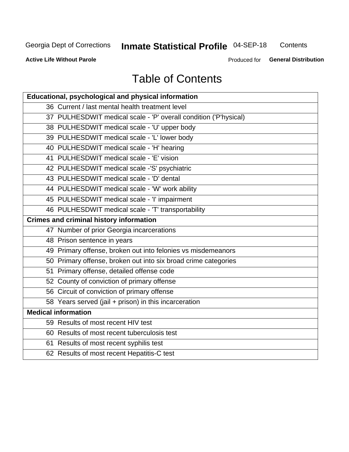## Inmate Statistical Profile 04-SEP-18

Contents

**Active Life Without Parole** 

Produced for General Distribution

## **Table of Contents**

| Educational, psychological and physical information              |
|------------------------------------------------------------------|
| 36 Current / last mental health treatment level                  |
| 37 PULHESDWIT medical scale - 'P' overall condition ('P'hysical) |
| 38 PULHESDWIT medical scale - 'U' upper body                     |
| 39 PULHESDWIT medical scale - 'L' lower body                     |
| 40 PULHESDWIT medical scale - 'H' hearing                        |
| 41 PULHESDWIT medical scale - 'E' vision                         |
| 42 PULHESDWIT medical scale -'S' psychiatric                     |
| 43 PULHESDWIT medical scale - 'D' dental                         |
| 44 PULHESDWIT medical scale - 'W' work ability                   |
| 45 PULHESDWIT medical scale - 'I' impairment                     |
| 46 PULHESDWIT medical scale - 'T' transportability               |
| <b>Crimes and criminal history information</b>                   |
| 47 Number of prior Georgia incarcerations                        |
| 48 Prison sentence in years                                      |
| 49 Primary offense, broken out into felonies vs misdemeanors     |
| 50 Primary offense, broken out into six broad crime categories   |
| 51 Primary offense, detailed offense code                        |
| 52 County of conviction of primary offense                       |
| 56 Circuit of conviction of primary offense                      |
| 58 Years served (jail + prison) in this incarceration            |
| <b>Medical information</b>                                       |
| 59 Results of most recent HIV test                               |
| 60 Results of most recent tuberculosis test                      |
| 61 Results of most recent syphilis test                          |
| 62 Results of most recent Hepatitis-C test                       |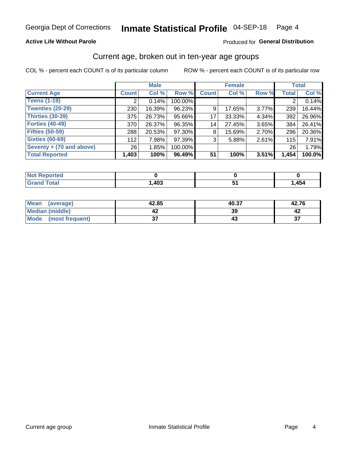#### **Active Life Without Parole**

#### Produced for General Distribution

## Current age, broken out in ten-year age groups

COL % - percent each COUNT is of its particular column

|                          | <b>Male</b>  |        |         | <b>Female</b> |        |       | <b>Total</b> |        |
|--------------------------|--------------|--------|---------|---------------|--------|-------|--------------|--------|
| <b>Current Age</b>       | <b>Count</b> | Col %  | Row %   | <b>Count</b>  | Col %  | Row % | <b>Total</b> | Col %  |
| <b>Teens (1-19)</b>      |              | 0.14%  | 100.00% |               |        |       |              | 0.14%  |
| <b>Twenties (20-29)</b>  | 230          | 16.39% | 96.23%  | 9             | 17.65% | 3.77% | 239          | 16.44% |
| Thirties (30-39)         | 375          | 26.73% | 95.66%  | 17            | 33.33% | 4.34% | 392          | 26.96% |
| <b>Forties (40-49)</b>   | 370          | 26.37% | 96.35%  | 14            | 27.45% | 3.65% | 384          | 26.41% |
| <b>Fifties (50-59)</b>   | 288          | 20.53% | 97.30%  | 8             | 15.69% | 2.70% | 296          | 20.36% |
| <b>Sixties (60-69)</b>   | 112          | 7.98%  | 97.39%  | 3             | 5.88%  | 2.61% | 115          | 7.91%  |
| Seventy + (70 and above) | 26           | 1.85%  | 100.00% |               |        |       | 26           | 1.79%  |
| <b>Total Reported</b>    | 1,403        | 100%   | 96.49%  | 51            | 100%   | 3.51% | 1,454        | 100.0% |

| <b>inorted</b><br>NOT<br>. <b>.</b> |      |       |
|-------------------------------------|------|-------|
| <b>Total</b>                        | ,403 | 1,454 |

| <b>Mean</b><br>(average) | 42.85  | 40.37 | 42.76    |
|--------------------------|--------|-------|----------|
| Median (middle)          |        | 39    |          |
| Mode<br>(most frequent)  | ^<br>v |       | ^¬<br>J. |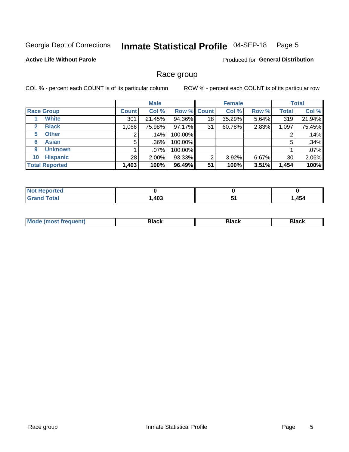#### Inmate Statistical Profile 04-SEP-18 Page 5

#### **Active Life Without Parole**

Produced for General Distribution

### Race group

COL % - percent each COUNT is of its particular column

|                              |              | <b>Male</b> |                    | <b>Female</b> |        |       | <b>Total</b> |        |
|------------------------------|--------------|-------------|--------------------|---------------|--------|-------|--------------|--------|
| <b>Race Group</b>            | <b>Count</b> | Col %       | <b>Row % Count</b> |               | Col %  | Row % | <b>Total</b> | Col %  |
| <b>White</b>                 | 301          | 21.45%      | 94.36%             | 18            | 35.29% | 5.64% | 319          | 21.94% |
| <b>Black</b><br>$\mathbf{2}$ | 1,066        | 75.98%      | 97.17%             | 31            | 60.78% | 2.83% | 1,097        | 75.45% |
| <b>Other</b><br>5.           | ◠            | $.14\%$     | 100.00%            |               |        |       | 2            | .14%   |
| <b>Asian</b><br>6            | 5            | $.36\%$     | 100.00%            |               |        |       | 5            | .34%   |
| <b>Unknown</b><br>9          |              | .07%        | 100.00%            |               |        |       |              | .07%   |
| <b>Hispanic</b><br>10        | 28           | $2.00\%$    | 93.33%             | 2             | 3.92%  | 6.67% | 30           | 2.06%  |
| <b>Total Reported</b>        | 1,403        | 100%        | 96.49%             | 51            | 100%   | 3.51% | 1,454        | 100%   |

| orted<br>NO.                |      |      |
|-----------------------------|------|------|
| <b>otal</b><br><b>Grand</b> | ,403 | ,454 |

| M<br>зіаск<br>DIACK<br>------<br>------ |
|-----------------------------------------|
|-----------------------------------------|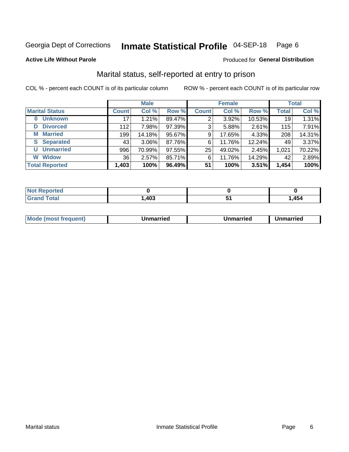#### Inmate Statistical Profile 04-SEP-18 Page 6

#### **Active Life Without Parole**

#### Produced for General Distribution

## Marital status, self-reported at entry to prison

COL % - percent each COUNT is of its particular column

|                            |              | <b>Male</b> |        |              | <b>Female</b> |        |              | <b>Total</b> |
|----------------------------|--------------|-------------|--------|--------------|---------------|--------|--------------|--------------|
| <b>Marital Status</b>      | <b>Count</b> | Col %       | Row %  | <b>Count</b> | Col %         | Row %  | <b>Total</b> | Col %        |
| <b>Unknown</b><br>$\bf{0}$ | 17           | 1.21%       | 89.47% | 2            | 3.92%         | 10.53% | 19           | 1.31%        |
| <b>Divorced</b><br>D       | 112          | 7.98%       | 97.39% | 3            | 5.88%         | 2.61%  | 115          | 7.91%        |
| <b>Married</b><br>М        | 199          | 14.18%      | 95.67% | 9            | 17.65%        | 4.33%  | 208          | 14.31%       |
| <b>S</b> Separated         | 43           | $3.06\%$    | 87.76% | 6            | 11.76%        | 12.24% | 49           | 3.37%        |
| <b>Unmarried</b><br>U      | 996          | 70.99%      | 97.55% | 25           | 49.02%        | 2.45%  | 1,021        | 70.22%       |
| <b>Widow</b><br>W          | 36           | 2.57%       | 85.71% | 6            | 11.76%        | 14.29% | 42           | 2.89%        |
| <b>Total Reported</b>      | 1,403        | 100%        | 96.49% | 51           | 100%          | 3.51%  | 1,454        | 100%         |

| prted<br>NOT RADO |     |      |
|-------------------|-----|------|
| <b>⊺otal</b>      | 403 | ,454 |

|  | M | . | Unmarried | າmarried<br>_____ |
|--|---|---|-----------|-------------------|
|--|---|---|-----------|-------------------|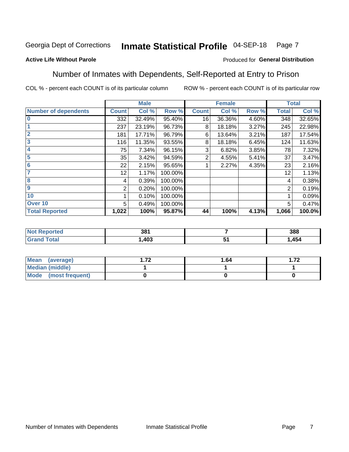#### Inmate Statistical Profile 04-SEP-18 Page 7

#### **Active Life Without Parole**

#### Produced for General Distribution

## Number of Inmates with Dependents, Self-Reported at Entry to Prison

COL % - percent each COUNT is of its particular column

|                             |                 | <b>Male</b> |         |              | <b>Female</b> |       |              | <b>Total</b> |
|-----------------------------|-----------------|-------------|---------|--------------|---------------|-------|--------------|--------------|
| <b>Number of dependents</b> | <b>Count</b>    | Col %       | Row %   | <b>Count</b> | Col %         | Row % | <b>Total</b> | Col %        |
| $\bf{0}$                    | 332             | 32.49%      | 95.40%  | 16           | 36.36%        | 4.60% | 348          | 32.65%       |
|                             | 237             | 23.19%      | 96.73%  | 8            | 18.18%        | 3.27% | 245          | 22.98%       |
| $\overline{2}$              | 181             | 17.71%      | 96.79%  | 6            | 13.64%        | 3.21% | 187          | 17.54%       |
| 3                           | 116             | 11.35%      | 93.55%  | 8            | 18.18%        | 6.45% | 124          | 11.63%       |
| 4                           | 75              | 7.34%       | 96.15%  | 3            | 6.82%         | 3.85% | 78           | 7.32%        |
| 5                           | 35              | 3.42%       | 94.59%  | 2            | 4.55%         | 5.41% | 37           | 3.47%        |
| $6\phantom{1}6$             | 22              | 2.15%       | 95.65%  |              | 2.27%         | 4.35% | 23           | 2.16%        |
| 7                           | 12 <sub>2</sub> | 1.17%       | 100.00% |              |               |       | 12           | 1.13%        |
| $\overline{\mathbf{8}}$     | 4               | 0.39%       | 100.00% |              |               |       | 4            | 0.38%        |
| $\boldsymbol{9}$            | 2               | 0.20%       | 100.00% |              |               |       | 2            | 0.19%        |
| 10                          |                 | 0.10%       | 100.00% |              |               |       |              | 0.09%        |
| Over 10                     | 5               | 0.49%       | 100.00% |              |               |       | 5            | 0.47%        |
| <b>Total Reported</b>       | 1,022           | 100%        | 95.87%  | 44           | 100%          | 4.13% | 1,066        | 100.0%       |

| ua o | 381               |                                 | 388  |
|------|-------------------|---------------------------------|------|
|      | <b>103</b><br>rvj | $\overline{\phantom{a}}$<br>. . | ,454 |

| Mean (average)          | 70 | 1.64 | 70<br>. |
|-------------------------|----|------|---------|
| <b>Median (middle)</b>  |    |      |         |
| Mode<br>(most frequent) |    |      |         |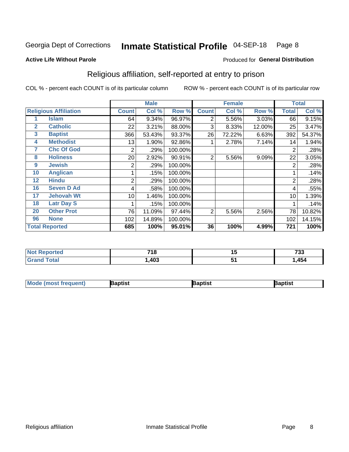#### Inmate Statistical Profile 04-SEP-18 Page 8

**Active Life Without Parole** 

#### Produced for General Distribution

## Religious affiliation, self-reported at entry to prison

COL % - percent each COUNT is of its particular column

|              |                              | <b>Male</b>  |        |         |              | <b>Female</b> | <b>Total</b> |                |        |
|--------------|------------------------------|--------------|--------|---------|--------------|---------------|--------------|----------------|--------|
|              | <b>Religious Affiliation</b> | <b>Count</b> | Col %  | Row %   | <b>Count</b> | Col %         | Row %        | <b>Total</b>   | Col %  |
|              | <b>Islam</b>                 | 64           | 9.34%  | 96.97%  | 2            | 5.56%         | 3.03%        | 66             | 9.15%  |
| $\mathbf{2}$ | <b>Catholic</b>              | 22           | 3.21%  | 88.00%  | 3            | 8.33%         | 12.00%       | 25             | 3.47%  |
| $\mathbf{3}$ | <b>Baptist</b>               | 366          | 53.43% | 93.37%  | 26           | 72.22%        | 6.63%        | 392            | 54.37% |
| 4            | <b>Methodist</b>             | 13           | 1.90%  | 92.86%  |              | 2.78%         | 7.14%        | 14             | 1.94%  |
| 7            | <b>Chc Of God</b>            | 2            | .29%   | 100.00% |              |               |              | $\overline{2}$ | .28%   |
| 8            | <b>Holiness</b>              | 20           | 2.92%  | 90.91%  | 2            | 5.56%         | 9.09%        | 22             | 3.05%  |
| 9            | <b>Jewish</b>                | 2            | .29%   | 100.00% |              |               |              | $\overline{2}$ | .28%   |
| 10           | <b>Anglican</b>              |              | .15%   | 100.00% |              |               |              |                | .14%   |
| 12           | <b>Hindu</b>                 | 2            | .29%   | 100.00% |              |               |              | $\overline{2}$ | .28%   |
| 16           | <b>Seven D Ad</b>            | 4            | .58%   | 100.00% |              |               |              | 4              | .55%   |
| 17           | <b>Jehovah Wt</b>            | 10           | 1.46%  | 100.00% |              |               |              | 10             | 1.39%  |
| 18           | <b>Latr Day S</b>            |              | .15%   | 100.00% |              |               |              |                | .14%   |
| 20           | <b>Other Prot</b>            | 76           | 11.09% | 97.44%  | 2            | 5.56%         | 2.56%        | 78             | 10.82% |
| 96           | <b>None</b>                  | 102          | 14.89% | 100.00% |              |               |              | 102            | 14.15% |
|              | <b>Total Reported</b>        | 685          | 100%   | 95.01%  | 36           | 100%          | 4.99%        | 721            | 100%   |

| тео         | 74c  | . . | フクク  |
|-------------|------|-----|------|
|             | 1 C  | .,  | دد ، |
| $C = 4 - 7$ | ,403 |     | 454  |

| <b>Mode (most frequent)</b> | Baptist | Baptist | Baptist |
|-----------------------------|---------|---------|---------|
|-----------------------------|---------|---------|---------|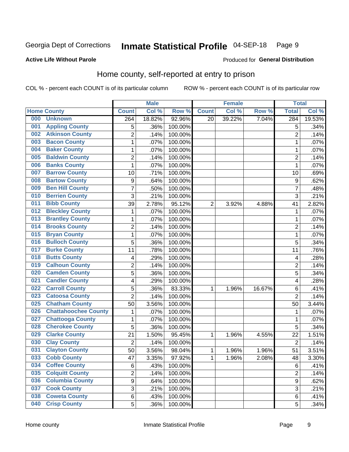#### Inmate Statistical Profile 04-SEP-18 Page 9

#### **Active Life Without Parole**

#### Produced for General Distribution

## Home county, self-reported at entry to prison

COL % - percent each COUNT is of its particular column

|     |                             |                  | <b>Male</b> |         |                | <b>Female</b> |        | <b>Total</b>   |        |
|-----|-----------------------------|------------------|-------------|---------|----------------|---------------|--------|----------------|--------|
|     | <b>Home County</b>          | <b>Count</b>     | Col %       | Row %   | <b>Count</b>   | Col %         | Row %  | <b>Total</b>   | Col %  |
| 000 | <b>Unknown</b>              | 264              | 18.82%      | 92.96%  | 20             | 39.22%        | 7.04%  | 284            | 19.53% |
| 001 | <b>Appling County</b>       | 5                | .36%        | 100.00% |                |               |        | 5              | .34%   |
| 002 | <b>Atkinson County</b>      | $\overline{2}$   | .14%        | 100.00% |                |               |        | $\overline{2}$ | .14%   |
| 003 | <b>Bacon County</b>         | $\mathbf 1$      | .07%        | 100.00% |                |               |        | 1              | .07%   |
| 004 | <b>Baker County</b>         | $\mathbf 1$      | .07%        | 100.00% |                |               |        | 1              | .07%   |
| 005 | <b>Baldwin County</b>       | 2                | .14%        | 100.00% |                |               |        | $\overline{2}$ | .14%   |
| 006 | <b>Banks County</b>         | $\mathbf{1}$     | .07%        | 100.00% |                |               |        | 1              | .07%   |
| 007 | <b>Barrow County</b>        | 10               | .71%        | 100.00% |                |               |        | 10             | .69%   |
| 008 | <b>Bartow County</b>        | $\boldsymbol{9}$ | .64%        | 100.00% |                |               |        | 9              | .62%   |
| 009 | <b>Ben Hill County</b>      | 7                | .50%        | 100.00% |                |               |        | 7              | .48%   |
| 010 | <b>Berrien County</b>       | 3                | .21%        | 100.00% |                |               |        | 3              | .21%   |
| 011 | <b>Bibb County</b>          | 39               | 2.78%       | 95.12%  | $\overline{2}$ | 3.92%         | 4.88%  | 41             | 2.82%  |
| 012 | <b>Bleckley County</b>      | 1                | .07%        | 100.00% |                |               |        | 1              | .07%   |
| 013 | <b>Brantley County</b>      | $\mathbf 1$      | .07%        | 100.00% |                |               |        | 1              | .07%   |
| 014 | <b>Brooks County</b>        | $\overline{2}$   | .14%        | 100.00% |                |               |        | $\overline{2}$ | .14%   |
| 015 | <b>Bryan County</b>         | 1                | .07%        | 100.00% |                |               |        | 1              | .07%   |
| 016 | <b>Bulloch County</b>       | 5                | .36%        | 100.00% |                |               |        | 5              | .34%   |
| 017 | <b>Burke County</b>         | 11               | .78%        | 100.00% |                |               |        | 11             | .76%   |
| 018 | <b>Butts County</b>         | 4                | .29%        | 100.00% |                |               |        | 4              | .28%   |
| 019 | <b>Calhoun County</b>       | $\overline{2}$   | .14%        | 100.00% |                |               |        | $\overline{2}$ | .14%   |
| 020 | <b>Camden County</b>        | 5                | .36%        | 100.00% |                |               |        | 5              | .34%   |
| 021 | <b>Candler County</b>       | 4                | .29%        | 100.00% |                |               |        | 4              | .28%   |
| 022 | <b>Carroll County</b>       | 5                | .36%        | 83.33%  | 1              | 1.96%         | 16.67% | 6              | .41%   |
| 023 | <b>Catoosa County</b>       | $\overline{2}$   | .14%        | 100.00% |                |               |        | $\overline{2}$ | .14%   |
| 025 | <b>Chatham County</b>       | 50               | 3.56%       | 100.00% |                |               |        | 50             | 3.44%  |
| 026 | <b>Chattahoochee County</b> | 1                | .07%        | 100.00% |                |               |        | 1              | .07%   |
| 027 | <b>Chattooga County</b>     | $\mathbf 1$      | .07%        | 100.00% |                |               |        | 1              | .07%   |
| 028 | <b>Cherokee County</b>      | 5                | .36%        | 100.00% |                |               |        | 5              | .34%   |
| 029 | <b>Clarke County</b>        | 21               | 1.50%       | 95.45%  | 1              | 1.96%         | 4.55%  | 22             | 1.51%  |
| 030 | <b>Clay County</b>          | $\overline{2}$   | .14%        | 100.00% |                |               |        | $\overline{2}$ | .14%   |
| 031 | <b>Clayton County</b>       | 50               | 3.56%       | 98.04%  | 1              | 1.96%         | 1.96%  | 51             | 3.51%  |
| 033 | <b>Cobb County</b>          | 47               | 3.35%       | 97.92%  | 1              | 1.96%         | 2.08%  | 48             | 3.30%  |
| 034 | <b>Coffee County</b>        | 6                | .43%        | 100.00% |                |               |        | 6              | .41%   |
| 035 | <b>Colquitt County</b>      | $\overline{2}$   | .14%        | 100.00% |                |               |        | $\overline{2}$ | .14%   |
| 036 | <b>Columbia County</b>      | 9                | .64%        | 100.00% |                |               |        | 9              | .62%   |
| 037 | <b>Cook County</b>          | 3                | .21%        | 100.00% |                |               |        | 3              | .21%   |
| 038 | <b>Coweta County</b>        | 6                | .43%        | 100.00% |                |               |        | 6              | .41%   |
| 040 | <b>Crisp County</b>         | 5                | .36%        | 100.00% |                |               |        | 5              | .34%   |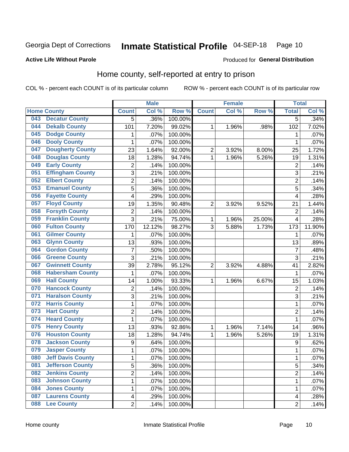#### Inmate Statistical Profile 04-SEP-18 Page 10

**Active Life Without Parole** 

#### Produced for General Distribution

## Home county, self-reported at entry to prison

COL % - percent each COUNT is of its particular column

|     |                          |                         | <b>Male</b> |         |                | <b>Female</b> |        | <b>Total</b>     |        |
|-----|--------------------------|-------------------------|-------------|---------|----------------|---------------|--------|------------------|--------|
|     | <b>Home County</b>       | <b>Count</b>            | Col %       | Row %   | <b>Count</b>   | Col%          | Row %  | <b>Total</b>     | Col %  |
| 043 | <b>Decatur County</b>    | 5                       | .36%        | 100.00% |                |               |        | 5                | .34%   |
| 044 | <b>Dekalb County</b>     | 101                     | 7.20%       | 99.02%  | 1              | 1.96%         | .98%   | 102              | 7.02%  |
| 045 | <b>Dodge County</b>      | 1                       | .07%        | 100.00% |                |               |        | 1                | .07%   |
| 046 | <b>Dooly County</b>      | 1                       | .07%        | 100.00% |                |               |        | 1                | .07%   |
| 047 | <b>Dougherty County</b>  | 23                      | 1.64%       | 92.00%  | $\overline{2}$ | 3.92%         | 8.00%  | 25               | 1.72%  |
| 048 | <b>Douglas County</b>    | 18                      | 1.28%       | 94.74%  | $\mathbf 1$    | 1.96%         | 5.26%  | 19               | 1.31%  |
| 049 | <b>Early County</b>      | 2                       | .14%        | 100.00% |                |               |        | $\overline{2}$   | .14%   |
| 051 | <b>Effingham County</b>  | 3                       | .21%        | 100.00% |                |               |        | 3                | .21%   |
| 052 | <b>Elbert County</b>     | $\overline{c}$          | .14%        | 100.00% |                |               |        | $\overline{2}$   | .14%   |
| 053 | <b>Emanuel County</b>    | 5                       | .36%        | 100.00% |                |               |        | 5                | .34%   |
| 056 | <b>Fayette County</b>    | 4                       | .29%        | 100.00% |                |               |        | 4                | .28%   |
| 057 | <b>Floyd County</b>      | 19                      | 1.35%       | 90.48%  | $\overline{2}$ | 3.92%         | 9.52%  | 21               | 1.44%  |
| 058 | <b>Forsyth County</b>    | $\overline{c}$          | .14%        | 100.00% |                |               |        | $\overline{2}$   | .14%   |
| 059 | <b>Franklin County</b>   | 3                       | .21%        | 75.00%  | 1              | 1.96%         | 25.00% | 4                | .28%   |
| 060 | <b>Fulton County</b>     | 170                     | 12.12%      | 98.27%  | 3              | 5.88%         | 1.73%  | 173              | 11.90% |
| 061 | <b>Gilmer County</b>     | 1                       | .07%        | 100.00% |                |               |        | 1                | .07%   |
| 063 | <b>Glynn County</b>      | 13                      | .93%        | 100.00% |                |               |        | 13               | .89%   |
| 064 | <b>Gordon County</b>     | $\overline{7}$          | .50%        | 100.00% |                |               |        | $\overline{7}$   | .48%   |
| 066 | <b>Greene County</b>     | 3                       | .21%        | 100.00% |                |               |        | 3                | .21%   |
| 067 | <b>Gwinnett County</b>   | 39                      | 2.78%       | 95.12%  | $\overline{2}$ | 3.92%         | 4.88%  | 41               | 2.82%  |
| 068 | <b>Habersham County</b>  | 1                       | .07%        | 100.00% |                |               |        | 1                | .07%   |
| 069 | <b>Hall County</b>       | 14                      | 1.00%       | 93.33%  | 1              | 1.96%         | 6.67%  | 15               | 1.03%  |
| 070 | <b>Hancock County</b>    | 2                       | .14%        | 100.00% |                |               |        | $\overline{2}$   | .14%   |
| 071 | <b>Haralson County</b>   | 3                       | .21%        | 100.00% |                |               |        | 3                | .21%   |
| 072 | <b>Harris County</b>     | $\mathbf 1$             | .07%        | 100.00% |                |               |        | 1                | .07%   |
| 073 | <b>Hart County</b>       | $\overline{c}$          | .14%        | 100.00% |                |               |        | $\overline{2}$   | .14%   |
| 074 | <b>Heard County</b>      | 1                       | .07%        | 100.00% |                |               |        | 1                | .07%   |
| 075 | <b>Henry County</b>      | 13                      | .93%        | 92.86%  | 1              | 1.96%         | 7.14%  | 14               | .96%   |
| 076 | <b>Houston County</b>    | 18                      | 1.28%       | 94.74%  | $\mathbf 1$    | 1.96%         | 5.26%  | 19               | 1.31%  |
| 078 | <b>Jackson County</b>    | $\boldsymbol{9}$        | .64%        | 100.00% |                |               |        | $\boldsymbol{9}$ | .62%   |
| 079 | <b>Jasper County</b>     | $\mathbf{1}$            | .07%        | 100.00% |                |               |        | 1                | .07%   |
| 080 | <b>Jeff Davis County</b> | 1                       | .07%        | 100.00% |                |               |        | 1                | .07%   |
| 081 | <b>Jefferson County</b>  | $\overline{5}$          | .36%        | 100.00% |                |               |        | $\overline{5}$   | .34%   |
| 082 | <b>Jenkins County</b>    | $\overline{2}$          | .14%        | 100.00% |                |               |        | $\overline{2}$   | .14%   |
| 083 | <b>Johnson County</b>    | $\mathbf{1}$            | .07%        | 100.00% |                |               |        | 1                | .07%   |
| 084 | <b>Jones County</b>      | $\mathbf 1$             | .07%        | 100.00% |                |               |        | 1                | .07%   |
| 087 | <b>Laurens County</b>    | $\overline{\mathbf{4}}$ | .29%        | 100.00% |                |               |        | 4                | .28%   |
| 088 | <b>Lee County</b>        | $\overline{2}$          | .14%        | 100.00% |                |               |        | $\overline{2}$   | .14%   |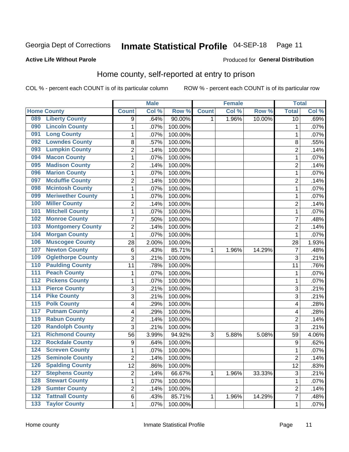#### Inmate Statistical Profile 04-SEP-18 Page 11

**Active Life Without Parole** 

Produced for General Distribution

## Home county, self-reported at entry to prison

COL % - percent each COUNT is of its particular column

|                  |                          |                | <b>Male</b> |         |              | <b>Female</b> |        | <b>Total</b>   |       |
|------------------|--------------------------|----------------|-------------|---------|--------------|---------------|--------|----------------|-------|
|                  | <b>Home County</b>       | <b>Count</b>   | Col %       | Row %   | <b>Count</b> | Col %         | Row %  | <b>Total</b>   | Col % |
| 089              | <b>Liberty County</b>    | 9              | .64%        | 90.00%  | 1.           | 1.96%         | 10.00% | 10             | .69%  |
| 090              | <b>Lincoln County</b>    | 1              | .07%        | 100.00% |              |               |        | 1              | .07%  |
| 091              | <b>Long County</b>       | $\mathbf 1$    | .07%        | 100.00% |              |               |        | 1              | .07%  |
| 092              | <b>Lowndes County</b>    | 8              | .57%        | 100.00% |              |               |        | 8              | .55%  |
| 093              | <b>Lumpkin County</b>    | $\overline{2}$ | .14%        | 100.00% |              |               |        | $\overline{2}$ | .14%  |
| 094              | <b>Macon County</b>      | $\mathbf 1$    | .07%        | 100.00% |              |               |        | 1              | .07%  |
| 095              | <b>Madison County</b>    | $\overline{2}$ | .14%        | 100.00% |              |               |        | $\overline{2}$ | .14%  |
| 096              | <b>Marion County</b>     | $\mathbf 1$    | .07%        | 100.00% |              |               |        | 1              | .07%  |
| 097              | <b>Mcduffie County</b>   | $\overline{2}$ | .14%        | 100.00% |              |               |        | $\overline{2}$ | .14%  |
| 098              | <b>Mcintosh County</b>   | $\mathbf 1$    | .07%        | 100.00% |              |               |        | 1              | .07%  |
| 099              | <b>Meriwether County</b> | $\mathbf 1$    | .07%        | 100.00% |              |               |        | 1              | .07%  |
| 100              | <b>Miller County</b>     | $\overline{c}$ | .14%        | 100.00% |              |               |        | $\overline{2}$ | .14%  |
| 101              | <b>Mitchell County</b>   | $\mathbf{1}$   | .07%        | 100.00% |              |               |        | 1              | .07%  |
| 102              | <b>Monroe County</b>     | $\overline{7}$ | .50%        | 100.00% |              |               |        | $\overline{7}$ | .48%  |
| 103              | <b>Montgomery County</b> | $\overline{2}$ | .14%        | 100.00% |              |               |        | $\overline{2}$ | .14%  |
| 104              | <b>Morgan County</b>     | 1              | .07%        | 100.00% |              |               |        | 1              | .07%  |
| 106              | <b>Muscogee County</b>   | 28             | 2.00%       | 100.00% |              |               |        | 28             | 1.93% |
| 107              | <b>Newton County</b>     | 6              | .43%        | 85.71%  | 1            | 1.96%         | 14.29% | $\overline{7}$ | .48%  |
| 109              | <b>Oglethorpe County</b> | 3              | .21%        | 100.00% |              |               |        | 3              | .21%  |
| 110              | <b>Paulding County</b>   | 11             | .78%        | 100.00% |              |               |        | 11             | .76%  |
| 111              | <b>Peach County</b>      | 1              | .07%        | 100.00% |              |               |        | 1              | .07%  |
| $\overline{112}$ | <b>Pickens County</b>    | $\mathbf 1$    | .07%        | 100.00% |              |               |        | 1              | .07%  |
| 113              | <b>Pierce County</b>     | 3              | .21%        | 100.00% |              |               |        | 3              | .21%  |
| 114              | <b>Pike County</b>       | 3              | .21%        | 100.00% |              |               |        | 3              | .21%  |
| $\overline{115}$ | <b>Polk County</b>       | 4              | .29%        | 100.00% |              |               |        | 4              | .28%  |
| 117              | <b>Putnam County</b>     | 4              | .29%        | 100.00% |              |               |        | 4              | .28%  |
| 119              | <b>Rabun County</b>      | $\overline{2}$ | .14%        | 100.00% |              |               |        | $\overline{2}$ | .14%  |
| 120              | <b>Randolph County</b>   | 3              | .21%        | 100.00% |              |               |        | 3              | .21%  |
| $121$            | <b>Richmond County</b>   | 56             | 3.99%       | 94.92%  | 3            | 5.88%         | 5.08%  | 59             | 4.06% |
| 122              | <b>Rockdale County</b>   | 9              | .64%        | 100.00% |              |               |        | 9              | .62%  |
| 124              | <b>Screven County</b>    | $\mathbf{1}$   | .07%        | 100.00% |              |               |        | 1              | .07%  |
| 125              | <b>Seminole County</b>   | 2              | .14%        | 100.00% |              |               |        | $\overline{c}$ | .14%  |
| 126              | <b>Spalding County</b>   | 12             | .86%        | 100.00% |              |               |        | 12             | .83%  |
| 127              | <b>Stephens County</b>   | $\overline{2}$ | .14%        | 66.67%  | 1            | 1.96%         | 33.33% | $\sqrt{3}$     | .21%  |
| 128              | <b>Stewart County</b>    | $\mathbf{1}$   | .07%        | 100.00% |              |               |        | 1              | .07%  |
| 129              | <b>Sumter County</b>     | $\overline{2}$ | .14%        | 100.00% |              |               |        | $\overline{2}$ | .14%  |
| 132              | <b>Tattnall County</b>   | 6              | .43%        | 85.71%  | 1            | 1.96%         | 14.29% | $\overline{7}$ | .48%  |
| 133              | <b>Taylor County</b>     | $\mathbf{1}$   | .07%        | 100.00% |              |               |        | 1              | .07%  |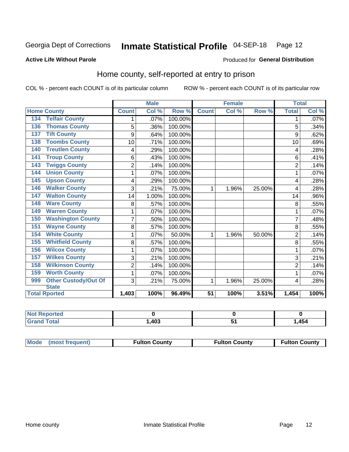## Inmate Statistical Profile 04-SEP-18 Page 12

#### **Active Life Without Parole**

#### Produced for General Distribution

## Home county, self-reported at entry to prison

COL % - percent each COUNT is of its particular column

|                                    |                | <b>Male</b> |         |              | <b>Female</b> |        | <b>Total</b>   |         |
|------------------------------------|----------------|-------------|---------|--------------|---------------|--------|----------------|---------|
| <b>Home County</b>                 | <b>Count</b>   | Col %       | Row %   | <b>Count</b> | Col %         | Row %  | <b>Total</b>   | Col %   |
| <b>Telfair County</b><br>134       | 1              | .07%        | 100.00% |              |               |        | 1              | $.07\%$ |
| <b>Thomas County</b><br>136        | 5              | .36%        | 100.00% |              |               |        | 5              | .34%    |
| <b>Tift County</b><br>137          | 9              | .64%        | 100.00% |              |               |        | 9              | .62%    |
| <b>Toombs County</b><br>138        | 10             | .71%        | 100.00% |              |               |        | 10             | .69%    |
| <b>Treutlen County</b><br>140      | 4              | .29%        | 100.00% |              |               |        | 4              | .28%    |
| <b>Troup County</b><br>141         | 6              | .43%        | 100.00% |              |               |        | 6              | .41%    |
| <b>Twiggs County</b><br>143        | $\overline{2}$ | .14%        | 100.00% |              |               |        | $\overline{2}$ | .14%    |
| <b>Union County</b><br>144         | 1              | .07%        | 100.00% |              |               |        | 1              | .07%    |
| <b>Upson County</b><br>145         | 4              | .29%        | 100.00% |              |               |        | 4              | .28%    |
| <b>Walker County</b><br>146        | 3              | .21%        | 75.00%  | 1            | 1.96%         | 25.00% | 4              | .28%    |
| <b>Walton County</b><br>147        | 14             | 1.00%       | 100.00% |              |               |        | 14             | .96%    |
| <b>Ware County</b><br>148          | 8              | .57%        | 100.00% |              |               |        | 8              | .55%    |
| <b>Warren County</b><br>149        | 1              | .07%        | 100.00% |              |               |        |                | .07%    |
| <b>Washington County</b><br>150    | $\overline{7}$ | .50%        | 100.00% |              |               |        | 7              | .48%    |
| <b>Wayne County</b><br>151         | 8              | .57%        | 100.00% |              |               |        | 8              | .55%    |
| <b>White County</b><br>154         | 1              | .07%        | 50.00%  | 1            | 1.96%         | 50.00% | $\overline{2}$ | .14%    |
| <b>Whitfield County</b><br>155     | 8              | .57%        | 100.00% |              |               |        | 8              | .55%    |
| <b>Wilcox County</b><br>156        | 1              | .07%        | 100.00% |              |               |        | 1              | .07%    |
| <b>Wilkes County</b><br>157        | 3              | .21%        | 100.00% |              |               |        | 3              | .21%    |
| <b>Wilkinson County</b><br>158     | $\overline{2}$ | .14%        | 100.00% |              |               |        | $\overline{c}$ | .14%    |
| <b>Worth County</b><br>159         | 1              | .07%        | 100.00% |              |               |        |                | .07%    |
| <b>Other Custody/Out Of</b><br>999 | 3              | .21%        | 75.00%  | 1            | 1.96%         | 25.00% | 4              | .28%    |
| <b>State</b>                       |                |             |         |              |               |        |                |         |
| <b>Total Rported</b>               | 1,403          | 100%        | 96.49%  | 51           | 100%          | 3.51%  | 1,454          | 100%    |

| ported<br><b>NOT</b>        |      |        |
|-----------------------------|------|--------|
| <b>c</b> otal<br><b>Gre</b> | ,403 | 454, ا |

| Mode (most frequent)<br><b>Fulton County</b> | <b>Fulton County</b> | <b>Fulton County</b> |
|----------------------------------------------|----------------------|----------------------|
|----------------------------------------------|----------------------|----------------------|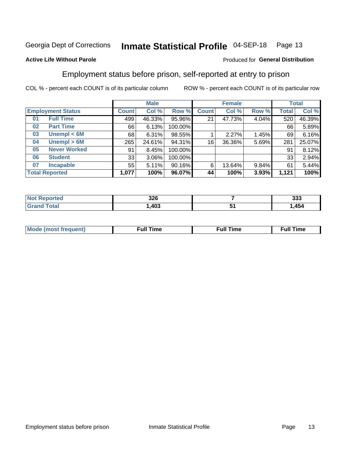#### Inmate Statistical Profile 04-SEP-18 Page 13

#### **Active Life Without Parole**

### Produced for General Distribution

## Employment status before prison, self-reported at entry to prison

COL % - percent each COUNT is of its particular column

|                          |                     | <b>Male</b>  |        |         | <b>Female</b> |        |       | <b>Total</b> |        |
|--------------------------|---------------------|--------------|--------|---------|---------------|--------|-------|--------------|--------|
| <b>Employment Status</b> |                     | <b>Count</b> | Col %  | Row %   | <b>Count</b>  | Col %  | Row % | Total        | Col %  |
| 01                       | <b>Full Time</b>    | 499          | 46.33% | 95.96%  | 21            | 47.73% | 4.04% | 520          | 46.39% |
| 02                       | <b>Part Time</b>    | 66           | 6.13%  | 100.00% |               |        |       | 66           | 5.89%  |
| 03                       | Unempl $<$ 6M       | 68           | 6.31%  | 98.55%  |               | 2.27%  | 1.45% | 69           | 6.16%  |
| 04                       | Unempl > 6M         | 265          | 24.61% | 94.31%  | 16            | 36.36% | 5.69% | 281          | 25.07% |
| 05                       | <b>Never Worked</b> | 91           | 8.45%  | 100.00% |               |        |       | 91           | 8.12%  |
| 06                       | <b>Student</b>      | 33           | 3.06%  | 100.00% |               |        |       | 33           | 2.94%  |
| 07                       | <b>Incapable</b>    | 55           | 5.11%  | 90.16%  | 6             | 13.64% | 9.84% | 61           | 5.44%  |
| <b>Total Reported</b>    |                     | 1,077        | 100%   | 96.07%  | 44            | 100%   | 3.93% | 1,121        | 100%   |

|                        | 326  | ົາາາ<br>ააა |
|------------------------|------|-------------|
| $f \wedge f \wedge f'$ | ,403 | 454<br>     |

| Mc | ∙u∥<br>----<br>ıme | ίuΙ<br>Πmε |
|----|--------------------|------------|
|    |                    |            |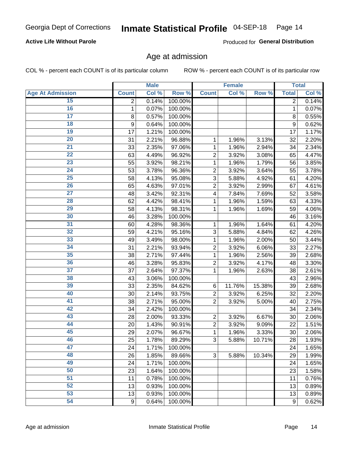#### **Active Life Without Parole**

Produced for General Distribution

### Age at admission

COL % - percent each COUNT is of its particular column

|                         |                | <b>Male</b> |         |                         | <b>Female</b> |        |                | <b>Total</b> |
|-------------------------|----------------|-------------|---------|-------------------------|---------------|--------|----------------|--------------|
| <b>Age At Admission</b> | <b>Count</b>   | Col %       | Row %   | <b>Count</b>            | Col %         | Row %  | <b>Total</b>   | Col %        |
| 15                      | $\overline{2}$ | 0.14%       | 100.00% |                         |               |        | $\overline{2}$ | 0.14%        |
| 16                      | 1              | 0.07%       | 100.00% |                         |               |        | $\mathbf{1}$   | 0.07%        |
| $\overline{17}$         | 8              | 0.57%       | 100.00% |                         |               |        | 8              | 0.55%        |
| 18                      | 9              | 0.64%       | 100.00% |                         |               |        | 9              | 0.62%        |
| 19                      | 17             | 1.21%       | 100.00% |                         |               |        | 17             | 1.17%        |
| $\overline{20}$         | 31             | 2.21%       | 96.88%  | 1                       | 1.96%         | 3.13%  | 32             | 2.20%        |
| 21                      | 33             | 2.35%       | 97.06%  | 1                       | 1.96%         | 2.94%  | 34             | 2.34%        |
| 22                      | 63             | 4.49%       | 96.92%  | $\overline{c}$          | 3.92%         | 3.08%  | 65             | 4.47%        |
| 23                      | 55             | 3.92%       | 98.21%  | 1                       | 1.96%         | 1.79%  | 56             | 3.85%        |
| 24                      | 53             | 3.78%       | 96.36%  | $\overline{2}$          | 3.92%         | 3.64%  | 55             | 3.78%        |
| $\overline{25}$         | 58             | 4.13%       | 95.08%  | 3                       | 5.88%         | 4.92%  | 61             | 4.20%        |
| 26                      | 65             | 4.63%       | 97.01%  | $\overline{2}$          | 3.92%         | 2.99%  | 67             | 4.61%        |
| $\overline{27}$         | 48             | 3.42%       | 92.31%  | $\overline{\mathbf{4}}$ | 7.84%         | 7.69%  | 52             | 3.58%        |
| 28                      | 62             | 4.42%       | 98.41%  | 1                       | 1.96%         | 1.59%  | 63             | 4.33%        |
| 29                      | 58             | 4.13%       | 98.31%  | 1                       | 1.96%         | 1.69%  | 59             | 4.06%        |
| 30                      | 46             | 3.28%       | 100.00% |                         |               |        | 46             | 3.16%        |
| 31                      | 60             | 4.28%       | 98.36%  | 1                       | 1.96%         | 1.64%  | 61             | 4.20%        |
| 32                      | 59             | 4.21%       | 95.16%  | 3                       | 5.88%         | 4.84%  | 62             | 4.26%        |
| 33                      | 49             | 3.49%       | 98.00%  | 1                       | 1.96%         | 2.00%  | 50             | 3.44%        |
| 34                      | 31             | 2.21%       | 93.94%  | $\overline{2}$          | 3.92%         | 6.06%  | 33             | 2.27%        |
| 35                      | 38             | 2.71%       | 97.44%  | 1                       | 1.96%         | 2.56%  | 39             | 2.68%        |
| 36                      | 46             | 3.28%       | 95.83%  | $\overline{c}$          | 3.92%         | 4.17%  | 48             | 3.30%        |
| $\overline{37}$         | 37             | 2.64%       | 97.37%  | 1                       | 1.96%         | 2.63%  | 38             | 2.61%        |
| 38                      | 43             | 3.06%       | 100.00% |                         |               |        | 43             | 2.96%        |
| 39                      | 33             | 2.35%       | 84.62%  | 6                       | 11.76%        | 15.38% | 39             | 2.68%        |
| 40                      | 30             | 2.14%       | 93.75%  | $\overline{c}$          | 3.92%         | 6.25%  | 32             | 2.20%        |
| 41                      | 38             | 2.71%       | 95.00%  | $\overline{2}$          | 3.92%         | 5.00%  | 40             | 2.75%        |
| 42                      | 34             | 2.42%       | 100.00% |                         |               |        | 34             | 2.34%        |
| 43                      | 28             | 2.00%       | 93.33%  | $\overline{2}$          | 3.92%         | 6.67%  | 30             | 2.06%        |
| 44                      | 20             | 1.43%       | 90.91%  | $\overline{c}$          | 3.92%         | 9.09%  | 22             | 1.51%        |
| 45                      | 29             | 2.07%       | 96.67%  | 1                       | 1.96%         | 3.33%  | 30             | 2.06%        |
| 46                      | 25             | 1.78%       | 89.29%  | 3                       | 5.88%         | 10.71% | 28             | 1.93%        |
| 47                      | 24             | 1.71%       | 100.00% |                         |               |        | 24             | 1.65%        |
| 48                      | 26             | 1.85%       | 89.66%  | 3                       | 5.88%         | 10.34% | 29             | 1.99%        |
| 49                      | 24             | 1.71%       | 100.00% |                         |               |        | 24             | 1.65%        |
| 50                      | 23             | 1.64%       | 100.00% |                         |               |        | 23             | 1.58%        |
| $\overline{51}$         | 11             | 0.78%       | 100.00% |                         |               |        | 11             | 0.76%        |
| 52                      | 13             | 0.93%       | 100.00% |                         |               |        | 13             | 0.89%        |
| 53                      | 13             | 0.93%       | 100.00% |                         |               |        | 13             | 0.89%        |
| 54                      | $9\,$          | 0.64%       | 100.00% |                         |               |        | 9              | 0.62%        |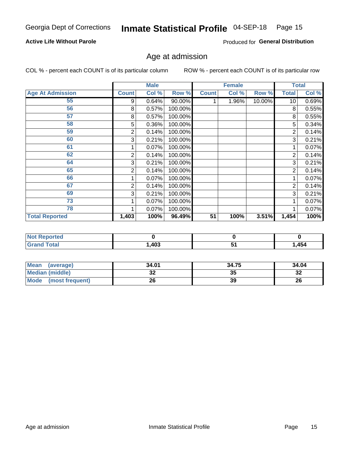#### **Active Life Without Parole**

Produced for General Distribution

## Age at admission

COL % - percent each COUNT is of its particular column

|                         |              | <b>Male</b> |         |              | <b>Female</b> |        |                 | <b>Total</b> |
|-------------------------|--------------|-------------|---------|--------------|---------------|--------|-----------------|--------------|
| <b>Age At Admission</b> | <b>Count</b> | Col %       | Row %   | <b>Count</b> | Col %         | Row %  | Total           | Col %        |
| 55                      | 9            | 0.64%       | 90.00%  |              | 1.96%         | 10.00% | 10 <sup>1</sup> | 0.69%        |
| 56                      | 8            | 0.57%       | 100.00% |              |               |        | 8               | 0.55%        |
| 57                      | 8            | 0.57%       | 100.00% |              |               |        | 8               | 0.55%        |
| 58                      | 5            | 0.36%       | 100.00% |              |               |        | 5               | 0.34%        |
| 59                      | 2            | 0.14%       | 100.00% |              |               |        | 2               | 0.14%        |
| 60                      | 3            | 0.21%       | 100.00% |              |               |        | 3               | 0.21%        |
| 61                      |              | 0.07%       | 100.00% |              |               |        |                 | 0.07%        |
| 62                      | 2            | 0.14%       | 100.00% |              |               |        | 2               | 0.14%        |
| 64                      | 3            | 0.21%       | 100.00% |              |               |        | 3               | 0.21%        |
| 65                      | 2            | 0.14%       | 100.00% |              |               |        | 2               | 0.14%        |
| 66                      |              | 0.07%       | 100.00% |              |               |        |                 | 0.07%        |
| 67                      | 2            | 0.14%       | 100.00% |              |               |        | 2               | 0.14%        |
| 69                      | 3            | 0.21%       | 100.00% |              |               |        | 3               | 0.21%        |
| 73                      |              | 0.07%       | 100.00% |              |               |        |                 | 0.07%        |
| 78                      |              | 0.07%       | 100.00% |              |               |        |                 | 0.07%        |
| <b>Total Reported</b>   | 1,403        | 100%        | 96.49%  | 51           | 100%          | 3.51%  | 1,454           | 100%         |

| <b>Not Reported</b> |      |      |
|---------------------|------|------|
| <b>Total</b>        | ,403 | ,454 |

| <b>Mean</b><br>(average) | 34.01 | 34.75 | 34.04    |
|--------------------------|-------|-------|----------|
| <b>Median (middle)</b>   | ^^    | 35    | ົ<br>-52 |
| Mode (most frequent)     | 26    | 39    | 26       |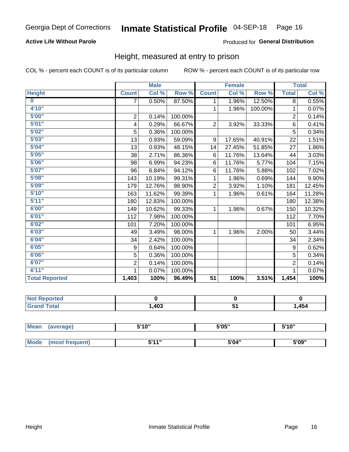### **Active Life Without Parole**

Produced for General Distribution

### Height, measured at entry to prison

COL % - percent each COUNT is of its particular column

|                       |                | <b>Male</b> |         |                 | <b>Female</b> |         |                | <b>Total</b> |
|-----------------------|----------------|-------------|---------|-----------------|---------------|---------|----------------|--------------|
| <b>Height</b>         | <b>Count</b>   | Col %       | Row %   | <b>Count</b>    | Col %         | Row %   | <b>Total</b>   | Col %        |
| $\bf{0}$              | 7              | 0.50%       | 87.50%  | 1.              | 1.96%         | 12.50%  | 8              | 0.55%        |
| 4'10"                 |                |             |         | 1               | 1.96%         | 100.00% | 1              | 0.07%        |
| 5'00''                | $\overline{2}$ | 0.14%       | 100.00% |                 |               |         | $\overline{2}$ | 0.14%        |
| 5'01"                 | 4              | 0.29%       | 66.67%  | $\overline{2}$  | 3.92%         | 33.33%  | 6              | 0.41%        |
| 5'02"                 | 5              | 0.36%       | 100.00% |                 |               |         | 5              | 0.34%        |
| 5'03''                | 13             | 0.93%       | 59.09%  | 9               | 17.65%        | 40.91%  | 22             | 1.51%        |
| 5'04"                 | 13             | 0.93%       | 48.15%  | 14              | 27.45%        | 51.85%  | 27             | 1.86%        |
| 5'05"                 | 38             | 2.71%       | 86.36%  | 6               | 11.76%        | 13.64%  | 44             | 3.03%        |
| 5'06''                | 98             | 6.99%       | 94.23%  | 6               | 11.76%        | 5.77%   | 104            | 7.15%        |
| 5'07''                | 96             | 6.84%       | 94.12%  | 6               | 11.76%        | 5.88%   | 102            | 7.02%        |
| 5'08''                | 143            | 10.19%      | 99.31%  | 1               | 1.96%         | 0.69%   | 144            | 9.90%        |
| 5'09''                | 179            | 12.76%      | 98.90%  | $\overline{2}$  | 3.92%         | 1.10%   | 181            | 12.45%       |
| 5'10''                | 163            | 11.62%      | 99.39%  | 1               | 1.96%         | 0.61%   | 164            | 11.28%       |
| 5'11''                | 180            | 12.83%      | 100.00% |                 |               |         | 180            | 12.38%       |
| 6'00''                | 149            | 10.62%      | 99.33%  | 1.              | 1.96%         | 0.67%   | 150            | 10.32%       |
| 6'01''                | 112            | 7.98%       | 100.00% |                 |               |         | 112            | 7.70%        |
| 6'02"                 | 101            | 7.20%       | 100.00% |                 |               |         | 101            | 6.95%        |
| 6'03''                | 49             | 3.49%       | 98.00%  | $\mathbf{1}$    | 1.96%         | 2.00%   | 50             | 3.44%        |
| 6'04"                 | 34             | 2.42%       | 100.00% |                 |               |         | 34             | 2.34%        |
| 6'05"                 | 9              | 0.64%       | 100.00% |                 |               |         | 9              | 0.62%        |
| 6'06''                | 5              | 0.36%       | 100.00% |                 |               |         | 5              | 0.34%        |
| 6'07''                | $\overline{2}$ | 0.14%       | 100.00% |                 |               |         | $\overline{2}$ | 0.14%        |
| 6'11''                |                | 0.07%       | 100.00% |                 |               |         |                | 0.07%        |
| <b>Total Reported</b> | 1,403          | 100%        | 96.49%  | $\overline{51}$ | 100%          | 3.51%   | 1,454          | 100%         |

| orted<br><b>NOT</b> |      |     |      |
|---------------------|------|-----|------|
| $int^{\bullet}$     | ,403 | י ש | ,454 |

| <b>Mean</b> | (average)       | 5'10" | 5'05" | 5'10" |  |
|-------------|-----------------|-------|-------|-------|--|
|             |                 |       |       |       |  |
| <b>Mode</b> | (most frequent) | 544"  | 5'04" | 5'09" |  |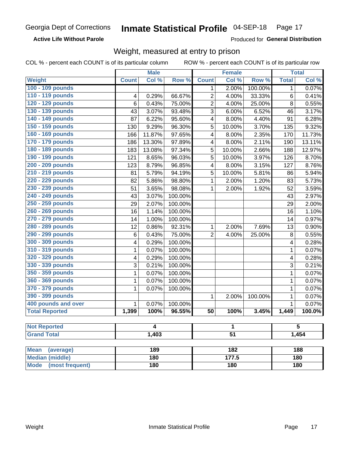**Active Life Without Parole** 

Produced for General Distribution

## Weight, measured at entry to prison

COL % - percent each COUNT is of its particular column

|                                |              | <b>Male</b> |         |                         | <b>Female</b>   |         |              | <b>Total</b> |  |
|--------------------------------|--------------|-------------|---------|-------------------------|-----------------|---------|--------------|--------------|--|
| Weight                         | <b>Count</b> | Col %       | Row %   | <b>Count</b>            | Col %           | Row %   | <b>Total</b> | Col %        |  |
| 100 - 109 pounds               |              |             |         | 1                       | $2.00\%$        | 100.00% | 1            | 0.07%        |  |
| 110 - 119 pounds               | 4            | 0.29%       | 66.67%  | $\overline{c}$          | 4.00%           | 33.33%  | 6            | 0.41%        |  |
| 120 - 129 pounds               | 6            | 0.43%       | 75.00%  | $\overline{2}$          | 4.00%           | 25.00%  | 8            | 0.55%        |  |
| 130 - 139 pounds               | 43           | 3.07%       | 93.48%  | 3                       | 6.00%           | 6.52%   | 46           | 3.17%        |  |
| 140 - 149 pounds               | 87           | 6.22%       | 95.60%  | $\overline{\mathbf{4}}$ | 8.00%           | 4.40%   | 91           | 6.28%        |  |
| 150 - 159 pounds               | 130          | 9.29%       | 96.30%  | 5                       | 10.00%          | 3.70%   | 135          | 9.32%        |  |
| 160 - 169 pounds               | 166          | 11.87%      | 97.65%  | $\overline{\mathbf{4}}$ | 8.00%           | 2.35%   | 170          | 11.73%       |  |
| 170 - 179 pounds               | 186          | 13.30%      | 97.89%  | 4                       | 8.00%           | 2.11%   | 190          | 13.11%       |  |
| 180 - 189 pounds               | 183          | 13.08%      | 97.34%  | 5                       | 10.00%          | 2.66%   | 188          | 12.97%       |  |
| 190 - 199 pounds               | 121          | 8.65%       | 96.03%  | 5                       | 10.00%          | 3.97%   | 126          | 8.70%        |  |
| 200 - 209 pounds               | 123          | 8.79%       | 96.85%  | $\overline{\mathbf{4}}$ | 8.00%           | 3.15%   | 127          | 8.76%        |  |
| 210 - 219 pounds               | 81           | 5.79%       | 94.19%  | 5                       | 10.00%          | 5.81%   | 86           | 5.94%        |  |
| 220 - 229 pounds               | 82           | 5.86%       | 98.80%  | 1                       | 2.00%           | 1.20%   | 83           | 5.73%        |  |
| 230 - 239 pounds               | 51           | 3.65%       | 98.08%  | 1                       | 2.00%           | 1.92%   | 52           | 3.59%        |  |
| 240 - 249 pounds               | 43           | 3.07%       | 100.00% |                         |                 |         | 43           | 2.97%        |  |
| 250 - 259 pounds               | 29           | 2.07%       | 100.00% |                         |                 |         | 29           | 2.00%        |  |
| 260 - 269 pounds               | 16           | 1.14%       | 100.00% |                         |                 |         | 16           | 1.10%        |  |
| 270 - 279 pounds               | 14           | 1.00%       | 100.00% |                         |                 |         | 14           | 0.97%        |  |
| 280 - 289 pounds               | 12           | 0.86%       | 92.31%  | 1                       | 2.00%           | 7.69%   | 13           | 0.90%        |  |
| 290 - 299 pounds               | 6            | 0.43%       | 75.00%  | $\overline{2}$          | 4.00%           | 25.00%  | 8            | 0.55%        |  |
| 300 - 309 pounds               | 4            | 0.29%       | 100.00% |                         |                 |         | 4            | 0.28%        |  |
| 310 - 319 pounds               | 1            | 0.07%       | 100.00% |                         |                 |         | $\mathbf{1}$ | 0.07%        |  |
| 320 - 329 pounds               | 4            | 0.29%       | 100.00% |                         |                 |         | 4            | 0.28%        |  |
| 330 - 339 pounds               | 3            | 0.21%       | 100.00% |                         |                 |         | 3            | 0.21%        |  |
| 350 - 359 pounds               | 1            | 0.07%       | 100.00% |                         |                 |         | $\mathbf 1$  | 0.07%        |  |
| 360 - 369 pounds               | 1            | 0.07%       | 100.00% |                         |                 |         | $\mathbf 1$  | 0.07%        |  |
| 370 - 379 pounds               | 1            | 0.07%       | 100.00% |                         |                 |         | $\mathbf 1$  | 0.07%        |  |
| 390 - 399 pounds               |              |             |         | 1                       | 2.00%           | 100.00% | 1            | 0.07%        |  |
| 400 pounds and over            | $\mathbf{1}$ | 0.07%       | 100.00% |                         |                 |         | $\mathbf{1}$ | 0.07%        |  |
| <b>Total Reported</b>          | 1,399        | 100%        | 96.55%  | 50                      | 100%            | 3.45%   | 1,449        | 100.0%       |  |
|                                |              |             |         |                         |                 |         |              |              |  |
| <b>Not Reported</b>            |              | 4           |         |                         | 1               |         |              | 5            |  |
| <b>Grand Total</b>             |              | 1,403       |         |                         | $\overline{51}$ |         |              | 1,454        |  |
|                                |              |             |         |                         |                 |         |              |              |  |
| <b>Mean</b><br>(average)       |              | 189         |         | 182                     |                 |         |              | 188          |  |
| <b>Median (middle)</b>         |              | 180         |         |                         | 177.5           |         |              | 180          |  |
| <b>Mode</b><br>(most frequent) |              | 180         |         |                         | 180             |         | 180          |              |  |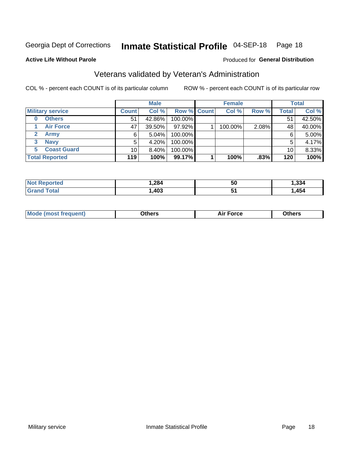## Inmate Statistical Profile 04-SEP-18 Page 18

Produced for General Distribution

#### **Active Life Without Parole**

## Veterans validated by Veteran's Administration

COL % - percent each COUNT is of its particular column

|                          |                 | <b>Male</b> |                    | <b>Female</b> |       |              | <b>Total</b> |
|--------------------------|-----------------|-------------|--------------------|---------------|-------|--------------|--------------|
| <b>Military service</b>  | <b>Count</b>    | Col %       | <b>Row % Count</b> | Col %         | Row % | <b>Total</b> | Col %        |
| <b>Others</b><br>0       | 51              | 42.86%      | 100.00%            |               |       | 51           | 42.50%       |
| <b>Air Force</b>         | 47              | 39.50%      | 97.92%             | 100.00%       | 2.08% | 48           | 40.00%       |
| <b>Army</b>              | 6               | $5.04\%$    | 100.00%            |               |       | 6            | 5.00%        |
| <b>Navy</b><br>3         | 5               | 4.20%       | 100.00%            |               |       | 5            | 4.17%        |
| <b>Coast Guard</b><br>5. | 10 <sub>1</sub> | $8.40\%$    | 100.00%            |               |       | 10           | 8.33%        |
| <b>Total Reported</b>    | 119             | 100%        | 99.17%             | 100%          | .83%  | 120          | 100%         |

| rtea :       | .284 | <b>50</b>    | 221<br>.აა4 |
|--------------|------|--------------|-------------|
| <b>Total</b> | ,403 | J.<br>$\sim$ | 454         |

| Mo<br>m | ∖‡h∧rc<br>____ | $-0.002$<br>28 F T<br>UI CE | <b>Others</b><br>____ |
|---------|----------------|-----------------------------|-----------------------|
|         |                |                             |                       |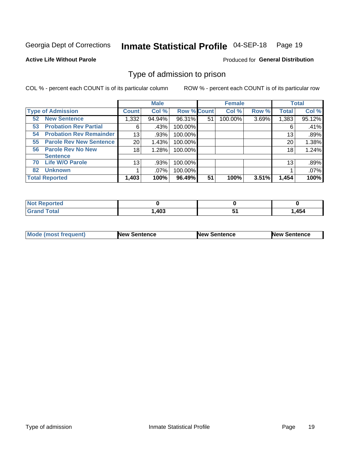#### Inmate Statistical Profile 04-SEP-18 Page 19

**Active Life Without Parole** 

Produced for General Distribution

## Type of admission to prison

COL % - percent each COUNT is of its particular column

|                                      |                 | <b>Male</b> |                    |    | <b>Female</b> |       |              | <b>Total</b> |
|--------------------------------------|-----------------|-------------|--------------------|----|---------------|-------|--------------|--------------|
| <b>Type of Admission</b>             | <b>Count</b>    | Col %       | <b>Row % Count</b> |    | Col %         | Row % | <b>Total</b> | Col %        |
| <b>New Sentence</b><br>52            | 1,332           | 94.94%      | 96.31%             | 51 | 100.00%       | 3.69% | 1,383        | 95.12%       |
| <b>Probation Rev Partial</b><br>53   | 6               | .43%        | 100.00%            |    |               |       | 6            | .41%         |
| <b>Probation Rev Remainder</b><br>54 | 13              | .93%        | 100.00%            |    |               |       | 13           | .89%         |
| <b>Parole Rev New Sentence</b><br>55 | 20              | 1.43%       | 100.00%            |    |               |       | 20           | 1.38%        |
| <b>Parole Rev No New</b><br>56       | 18              | 1.28%       | 100.00%            |    |               |       | 18           | 1.24%        |
| <b>Sentence</b>                      |                 |             |                    |    |               |       |              |              |
| <b>Life W/O Parole</b><br>70         | 13 <sub>1</sub> | .93%        | 100.00%            |    |               |       | 13           | .89%         |
| <b>Unknown</b><br>82                 |                 | $.07\%$     | 100.00%            |    |               |       |              | .07%         |
| <b>Total Reported</b>                | 1,403           | 100%        | 96.49%             | 51 | 100%          | 3.51% | 1,454        | 100%         |

| <b>Not Reported</b> |      |   |      |
|---------------------|------|---|------|
| Гоtal               | ,403 | - | .454 |

| Mode (most frequent) | <b>New Sentence</b> | <b>New Sentence</b> | <b>New Sentence</b> |
|----------------------|---------------------|---------------------|---------------------|
|                      |                     |                     |                     |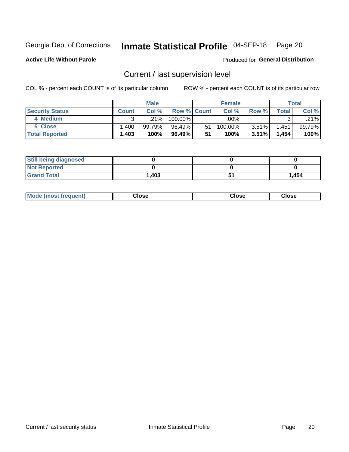## Inmate Statistical Profile 04-SEP-18 Page 20

**Active Life Without Parole** 

Produced for General Distribution

## Current / last supervision level

COL % - percent each COUNT is of its particular column

|                        |              | <b>Male</b> |                    |    | <b>Female</b> |          |       | <b>Total</b> |
|------------------------|--------------|-------------|--------------------|----|---------------|----------|-------|--------------|
| <b>Security Status</b> | <b>Count</b> | Col%        | <b>Row % Count</b> |    | Col %         | Row %    | Total | Col %        |
| 4 Medium               |              | $.21\%$     | $100.00\%$         |    | .00%          |          |       | .21%         |
| 5 Close                | ا 400. ا     | 99.79%      | 96.49%             | 51 | 100.00%       | 3.51%    | .451  | 99.79%       |
| <b>Total Reported</b>  | 1,403        | 100%        | 96.49%             | 51 | 100%          | $3.51\%$ | 1,454 | 100%         |

| <b>Still being diagnosed</b> |       |       |
|------------------------------|-------|-------|
| <b>Not Reported</b>          |       |       |
| <b>Grand Total</b>           | 1,403 | 1,454 |

| <b>Mode (most frequent)</b> | Close | ∵lose | Close |
|-----------------------------|-------|-------|-------|
|                             |       |       |       |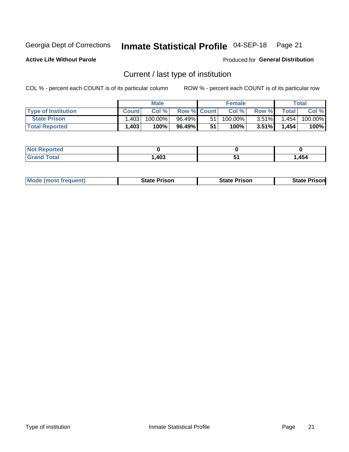#### Inmate Statistical Profile 04-SEP-18 Page 21

**Active Life Without Parole** 

Produced for General Distribution

## Current / last type of institution

COL % - percent each COUNT is of its particular column

|                            |              | <b>Male</b> |                    |    | <b>Female</b> |          |              | Total   |
|----------------------------|--------------|-------------|--------------------|----|---------------|----------|--------------|---------|
| <b>Type of Institution</b> | <b>Count</b> | Col %       | <b>Row % Count</b> |    | Col %         | Row %    | <b>Total</b> | Col %   |
| <b>State Prison</b>        | .403         | 100.00%     | 96.49%             | 51 | $100.00\%$    | $3.51\%$ | 1,454        | 100.00% |
| <b>Total Reported</b>      | .403         | 100%        | 96.49%             | 51 | 100%          | $3.51\%$ | 1,454        | 100%    |

| <b>rted</b><br>. |      |               |      |
|------------------|------|---------------|------|
|                  | ,403 | $\sim$ $\sim$ | ,454 |

|  | <b>Mode (most frequent)</b> | State Prison | <b>State Prison</b> | <b>State Prison</b> |
|--|-----------------------------|--------------|---------------------|---------------------|
|--|-----------------------------|--------------|---------------------|---------------------|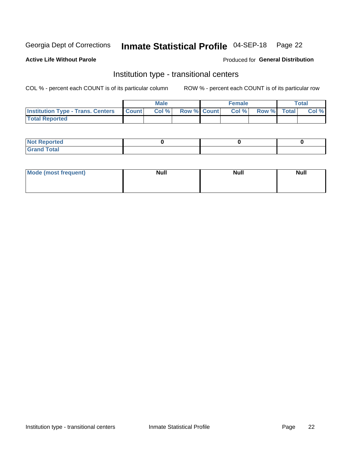## Inmate Statistical Profile 04-SEP-18 Page 22

#### **Active Life Without Parole**

#### Produced for General Distribution

## Institution type - transitional centers

COL % - percent each COUNT is of its particular column

|                                          |              | <b>Male</b> |                    | <b>Female</b> |             | <b>Total</b> |
|------------------------------------------|--------------|-------------|--------------------|---------------|-------------|--------------|
| <b>Institution Type - Trans. Centers</b> | <b>Count</b> | CoI%        | <b>Row % Count</b> | Col %         | Row % Total | Col %        |
| <b>Total Reported</b>                    |              |             |                    |               |             |              |

| <b>Reported</b><br><b>NOT</b><br>$\sim$            |  |  |
|----------------------------------------------------|--|--|
| $f$ $f \circ f \circ f$<br>$C = 1$<br><b>TULAI</b> |  |  |

| Mode (most frequent) | <b>Null</b> | <b>Null</b> | <b>Null</b> |
|----------------------|-------------|-------------|-------------|
|                      |             |             |             |
|                      |             |             |             |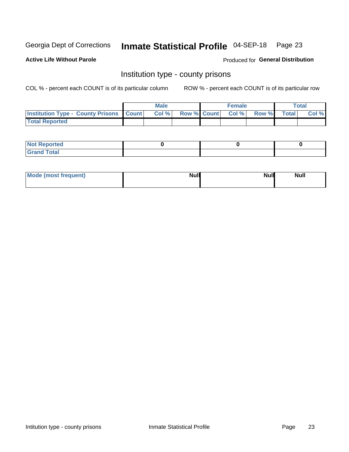## Inmate Statistical Profile 04-SEP-18 Page 23

**Active Life Without Parole** 

**Produced for General Distribution** 

### Institution type - county prisons

COL % - percent each COUNT is of its particular column

|                                                    | <b>Male</b> |       |  | <b>Female</b> |                          |             | <b>Total</b> |       |  |
|----------------------------------------------------|-------------|-------|--|---------------|--------------------------|-------------|--------------|-------|--|
| <b>Institution Type - County Prisons   Count  </b> |             | Col % |  |               | <b>Row % Count Col %</b> | Row % Total |              | Col % |  |
| <b>Total Reported</b>                              |             |       |  |               |                          |             |              |       |  |

| <b>Not Reported</b>   |  |  |
|-----------------------|--|--|
| <b>Total</b><br>Granc |  |  |

| Mode (most frequent) | <b>Null</b> | <b>Null</b><br><b>Null</b> |
|----------------------|-------------|----------------------------|
|                      |             |                            |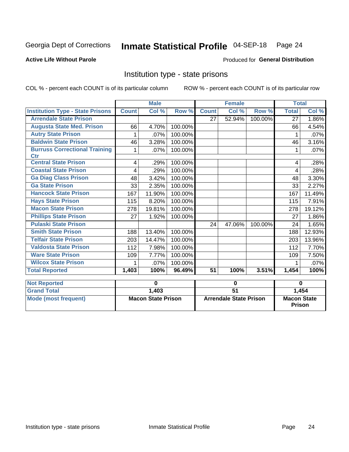## Inmate Statistical Profile 04-SEP-18 Page 24

#### **Active Life Without Parole**

#### Produced for General Distribution

## Institution type - state prisons

COL % - percent each COUNT is of its particular column

|                                                    | <b>Male</b>               |        |                               | <b>Female</b>   |        |                                     | <b>Total</b> |        |
|----------------------------------------------------|---------------------------|--------|-------------------------------|-----------------|--------|-------------------------------------|--------------|--------|
| <b>Institution Type - State Prisons</b>            | <b>Count</b>              | Col %  | Row <sup>%</sup>              | <b>Count</b>    | Col %  | Row %                               | <b>Total</b> | Col %  |
| <b>Arrendale State Prison</b>                      |                           |        |                               | 27              | 52.94% | 100.00%                             | 27           | 1.86%  |
| <b>Augusta State Med. Prison</b>                   | 66                        | 4.70%  | 100.00%                       |                 |        |                                     | 66           | 4.54%  |
| <b>Autry State Prison</b>                          | 1                         | .07%   | 100.00%                       |                 |        |                                     |              | .07%   |
| <b>Baldwin State Prison</b>                        | 46                        | 3.28%  | 100.00%                       |                 |        |                                     | 46           | 3.16%  |
| <b>Burruss Correctional Training</b><br><b>Ctr</b> | 1                         | .07%   | 100.00%                       |                 |        |                                     | 1            | .07%   |
| <b>Central State Prison</b>                        | 4                         | .29%   | 100.00%                       |                 |        |                                     | 4            | .28%   |
| <b>Coastal State Prison</b>                        | 4                         | .29%   | 100.00%                       |                 |        |                                     | 4            | .28%   |
| <b>Ga Diag Class Prison</b>                        | 48                        | 3.42%  | 100.00%                       |                 |        |                                     | 48           | 3.30%  |
| <b>Ga State Prison</b>                             | 33                        | 2.35%  | 100.00%                       |                 |        |                                     | 33           | 2.27%  |
| <b>Hancock State Prison</b>                        | 167                       | 11.90% | 100.00%                       |                 |        |                                     | 167          | 11.49% |
| <b>Hays State Prison</b>                           | 115                       | 8.20%  | 100.00%                       |                 |        |                                     | 115          | 7.91%  |
| <b>Macon State Prison</b>                          | 278                       | 19.81% | 100.00%                       |                 |        |                                     | 278          | 19.12% |
| <b>Phillips State Prison</b>                       | 27                        | 1.92%  | 100.00%                       |                 |        |                                     | 27           | 1.86%  |
| <b>Pulaski State Prison</b>                        |                           |        |                               | 24              | 47.06% | 100.00%                             | 24           | 1.65%  |
| <b>Smith State Prison</b>                          | 188                       | 13.40% | 100.00%                       |                 |        |                                     | 188          | 12.93% |
| <b>Telfair State Prison</b>                        | 203                       | 14.47% | 100.00%                       |                 |        |                                     | 203          | 13.96% |
| <b>Valdosta State Prison</b>                       | 112                       | 7.98%  | 100.00%                       |                 |        |                                     | 112          | 7.70%  |
| <b>Ware State Prison</b>                           | 109                       | 7.77%  | 100.00%                       |                 |        |                                     | 109          | 7.50%  |
| <b>Wilcox State Prison</b>                         | 1                         | .07%   | 100.00%                       |                 |        |                                     | 1            | .07%   |
| <b>Total Reported</b>                              | 1,403                     | 100%   | 96.49%                        | $\overline{51}$ | 100%   | 3.51%                               | 1,454        | 100%   |
| <b>Not Reported</b>                                | 0                         |        | 0                             |                 |        | $\bf{0}$                            |              |        |
| <b>Grand Total</b>                                 |                           | 1,403  |                               | $\overline{51}$ |        |                                     | 1,454        |        |
| <b>Mode (most frequent)</b>                        | <b>Macon State Prison</b> |        | <b>Arrendale State Prison</b> |                 |        | <b>Macon State</b><br><b>Prison</b> |              |        |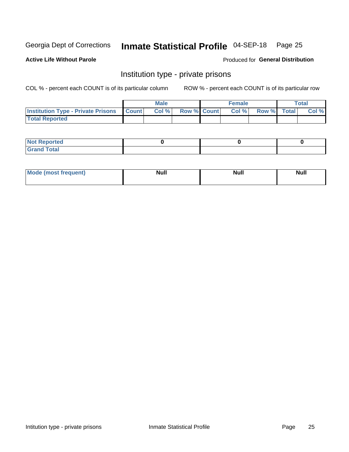## Inmate Statistical Profile 04-SEP-18 Page 25

**Active Life Without Parole** 

Produced for General Distribution

## Institution type - private prisons

COL % - percent each COUNT is of its particular column

|                                                 | <b>Male</b> |      |                    | <b>Female</b> |       |             | Total |       |
|-------------------------------------------------|-------------|------|--------------------|---------------|-------|-------------|-------|-------|
| <b>Institution Type - Private Prisons Count</b> |             | Col% | <b>Row % Count</b> |               | Col % | Row % Total |       | Col % |
| <b>Total Reported</b>                           |             |      |                    |               |       |             |       |       |

| Not Reported           |  |  |
|------------------------|--|--|
| <b>Cotal</b><br>______ |  |  |

| <b>Mo</b><br>frequent) | <b>Null</b> | <b>Null</b> | . . I *<br><b>IVUII</b> |
|------------------------|-------------|-------------|-------------------------|
|                        |             |             |                         |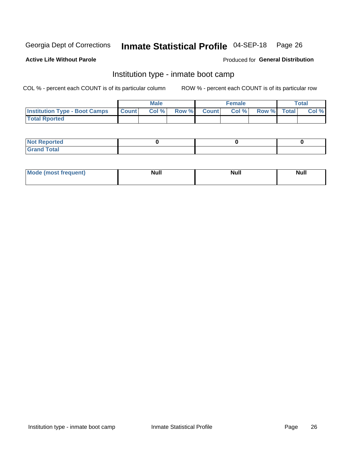## Inmate Statistical Profile 04-SEP-18 Page 26

#### **Active Life Without Parole**

#### Produced for General Distribution

## Institution type - inmate boot camp

COL % - percent each COUNT is of its particular column

|                                      | <b>Male</b>      |       |              | <b>Female</b> |       |             | <b>Total</b> |       |
|--------------------------------------|------------------|-------|--------------|---------------|-------|-------------|--------------|-------|
| <b>Institution Type - Boot Camps</b> | <b>I</b> Count I | Col % | <b>Row %</b> | <b>Count</b>  | Col % | Row % Total |              | Col % |
| <b>Total Rported</b>                 |                  |       |              |               |       |             |              |       |

| <b>Not Reported</b>            |  |  |
|--------------------------------|--|--|
| <b>Total</b><br>C <sub>r</sub> |  |  |

| Mod<br>uamo | Nul.<br>$- - - - - -$ | <b>Null</b> | . .<br>uu.<br>------ |
|-------------|-----------------------|-------------|----------------------|
|             |                       |             |                      |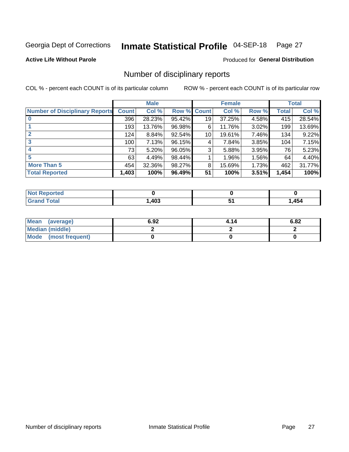#### Inmate Statistical Profile 04-SEP-18 Page 27

**Active Life Without Parole** 

Produced for General Distribution

## Number of disciplinary reports

COL % - percent each COUNT is of its particular column

|                                       | <b>Male</b>  |        |             | <b>Female</b> |        |       | <b>Total</b> |        |
|---------------------------------------|--------------|--------|-------------|---------------|--------|-------|--------------|--------|
| <b>Number of Disciplinary Reports</b> | <b>Count</b> | Col %  | Row % Count |               | Col %  | Row % | Total        | Col %  |
|                                       | 396          | 28.23% | 95.42%      | 19            | 37.25% | 4.58% | 415          | 28.54% |
|                                       | 193          | 13.76% | 96.98%      | 6             | 11.76% | 3.02% | 199          | 13.69% |
|                                       | 124          | 8.84%  | 92.54%      | 10            | 19.61% | 7.46% | 134          | 9.22%  |
| 3                                     | 100          | 7.13%  | 96.15%      | 4             | 7.84%  | 3.85% | 104          | 7.15%  |
|                                       | 73           | 5.20%  | 96.05%      | 3             | 5.88%  | 3.95% | 76           | 5.23%  |
| 5                                     | 63           | 4.49%  | 98.44%      |               | 1.96%  | 1.56% | 64           | 4.40%  |
| <b>More Than 5</b>                    | 454          | 32.36% | 98.27%      | 8             | 15.69% | 1.73% | 462          | 31.77% |
| <b>Total Reported</b>                 | 1,403        | 100%   | 96.49%      | 51            | 100%   | 3.51% | 1,454        | 100%   |

| prted<br>NOT      |      |     |
|-------------------|------|-----|
| <sup>-</sup> otal | ,403 | 454 |

| Mean (average)       | 6.92 | 4.14 | 6.82 |
|----------------------|------|------|------|
| Median (middle)      |      |      |      |
| Mode (most frequent) |      |      |      |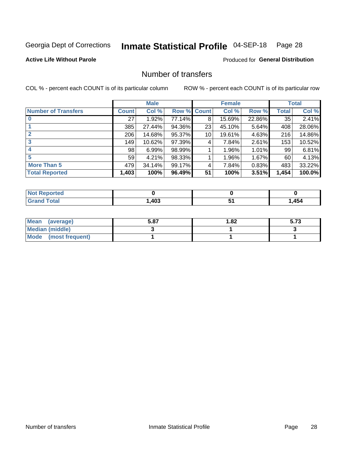## Inmate Statistical Profile 04-SEP-18 Page 28

#### **Active Life Without Parole**

#### **Produced for General Distribution**

## Number of transfers

COL % - percent each COUNT is of its particular column

|                            |              | <b>Male</b> |        |              | <b>Female</b> |          |              | <b>Total</b> |
|----------------------------|--------------|-------------|--------|--------------|---------------|----------|--------------|--------------|
| <b>Number of Transfers</b> | <b>Count</b> | Col %       | Row %  | <b>Count</b> | Col %         | Row %    | <b>Total</b> | Col %        |
|                            | 27           | 1.92%       | 77.14% | 8            | 15.69%        | 22.86%   | 35           | 2.41%        |
|                            | 385          | 27.44%      | 94.36% | 23           | 45.10%        | 5.64%    | 408          | 28.06%       |
| $\mathbf{2}$               | 206          | 14.68%      | 95.37% | 10           | 19.61%        | 4.63%    | 216          | 14.86%       |
| 3                          | 149          | 10.62%      | 97.39% | 4            | 7.84%         | $2.61\%$ | 153          | 10.52%       |
|                            | 98           | 6.99%       | 98.99% |              | 1.96%         | 1.01%    | 99           | 6.81%        |
| 5                          | 59           | 4.21%       | 98.33% |              | 1.96%         | 1.67%    | 60           | 4.13%        |
| <b>More Than 5</b>         | 479          | 34.14%      | 99.17% | 4            | 7.84%         | 0.83%    | 483          | 33.22%       |
| <b>Total Reported</b>      | 1,403        | 100%        | 96.49% | 51           | 100%          | 3.51%    | 1,454        | 100.0%       |

| prted<br>NOT      |      |     |
|-------------------|------|-----|
| <sup>-</sup> otal | ,403 | 454 |

| Mean (average)       | 5.87 | 1.82 | 5.73 |
|----------------------|------|------|------|
| Median (middle)      |      |      |      |
| Mode (most frequent) |      |      |      |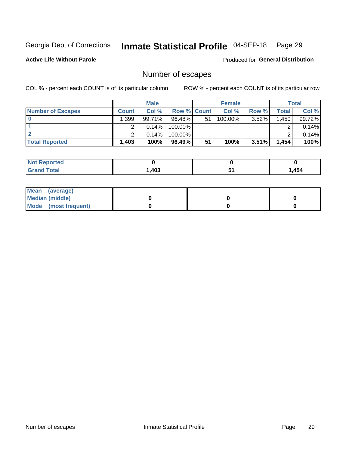## Inmate Statistical Profile 04-SEP-18 Page 29

**Active Life Without Parole** 

Produced for General Distribution

## Number of escapes

COL % - percent each COUNT is of its particular column

|                          | <b>Male</b>  |          |                    | <b>Female</b> |         |          | Total |        |
|--------------------------|--------------|----------|--------------------|---------------|---------|----------|-------|--------|
| <b>Number of Escapes</b> | <b>Count</b> | Col %    | <b>Row % Count</b> |               | Col %   | Row %    | Total | Col %  |
|                          | ∣ 399.       | 99.71%   | $96.48\%$          | 51            | 100.00% | 3.52%    | .450  | 99.72% |
|                          |              | $0.14\%$ | $100.00\%$         |               |         |          |       | 0.14%  |
|                          |              | 0.14%    | $100.00\%$         |               |         |          |       | 0.14%  |
| <b>Total Reported</b>    | $.403+$      | 100%     | $96.49\%$          | 51            | 100%    | $3.51\%$ | 1,454 | 100%   |

| <b>Reported</b><br><b>NOT</b> |      |   |     |
|-------------------------------|------|---|-----|
| <b>Total</b>                  | ,403 | ີ | 454 |

| Mean (average)       |  |  |
|----------------------|--|--|
| Median (middle)      |  |  |
| Mode (most frequent) |  |  |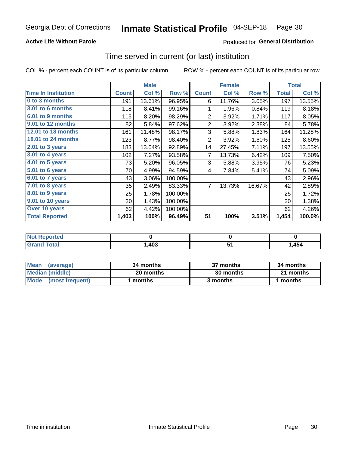#### **Active Life Without Parole**

### **Produced for General Distribution**

### Time served in current (or last) institution

COL % - percent each COUNT is of its particular column

|                            |              | <b>Male</b> |         |                | <b>Female</b> |        |              | <b>Total</b> |
|----------------------------|--------------|-------------|---------|----------------|---------------|--------|--------------|--------------|
| <b>Time In Institution</b> | <b>Count</b> | Col %       | Row %   | <b>Count</b>   | Col %         | Row %  | <b>Total</b> | Col %        |
| 0 to 3 months              | 191          | 13.61%      | 96.95%  | 6              | 11.76%        | 3.05%  | 197          | 13.55%       |
| <b>3.01 to 6 months</b>    | 118          | 8.41%       | 99.16%  | 1              | 1.96%         | 0.84%  | 119          | 8.18%        |
| 6.01 to 9 months           | 115          | 8.20%       | 98.29%  | $\overline{2}$ | 3.92%         | 1.71%  | 117          | 8.05%        |
| 9.01 to 12 months          | 82           | 5.84%       | 97.62%  | $\overline{2}$ | 3.92%         | 2.38%  | 84           | 5.78%        |
| 12.01 to 18 months         | 161          | 11.48%      | 98.17%  | 3              | 5.88%         | 1.83%  | 164          | 11.28%       |
| <b>18.01 to 24 months</b>  | 123          | 8.77%       | 98.40%  | $\overline{2}$ | 3.92%         | 1.60%  | 125          | 8.60%        |
| $2.01$ to 3 years          | 183          | 13.04%      | 92.89%  | 14             | 27.45%        | 7.11%  | 197          | 13.55%       |
| $3.01$ to 4 years          | 102          | 7.27%       | 93.58%  | 7              | 13.73%        | 6.42%  | 109          | 7.50%        |
| 4.01 to 5 years            | 73           | 5.20%       | 96.05%  | 3              | 5.88%         | 3.95%  | 76           | 5.23%        |
| 5.01 to 6 years            | 70           | 4.99%       | 94.59%  | 4              | 7.84%         | 5.41%  | 74           | 5.09%        |
| 6.01 to 7 years            | 43           | 3.06%       | 100.00% |                |               |        | 43           | 2.96%        |
| 7.01 to 8 years            | 35           | 2.49%       | 83.33%  | 7              | 13.73%        | 16.67% | 42           | 2.89%        |
| 8.01 to 9 years            | 25           | 1.78%       | 100.00% |                |               |        | 25           | 1.72%        |
| 9.01 to 10 years           | 20           | 1.43%       | 100.00% |                |               |        | 20           | 1.38%        |
| Over 10 years              | 62           | 4.42%       | 100.00% |                |               |        | 62           | 4.26%        |
| <b>Total Reported</b>      | 1,403        | 100%        | 96.49%  | 51             | 100%          | 3.51%  | 1,454        | 100.0%       |

| <b>Not Reported</b> |      |      |
|---------------------|------|------|
| Total               | ,403 | ,454 |

| <b>Mean</b><br>(average) | 34 months | 37 months | 34 months |
|--------------------------|-----------|-----------|-----------|
| Median (middle)          | 20 months | 30 months | 21 months |
| Mode (most frequent)     | months    | 3 months  | 1 months  |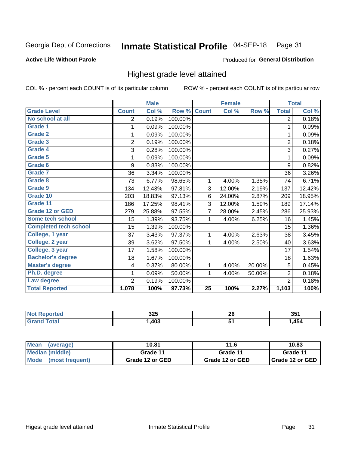#### Inmate Statistical Profile 04-SEP-18 Page 31

#### **Active Life Without Parole**

#### Produced for General Distribution

## Highest grade level attained

COL % - percent each COUNT is of its particular column

|                              |                | <b>Male</b> |         |                 | <b>Female</b> |        |                | <b>Total</b> |
|------------------------------|----------------|-------------|---------|-----------------|---------------|--------|----------------|--------------|
| <b>Grade Level</b>           | <b>Count</b>   | Col %       | Row %   | <b>Count</b>    | Col %         | Row %  | <b>Total</b>   | Col %        |
| No school at all             | 2              | 0.19%       | 100.00% |                 |               |        | $\overline{2}$ | 0.18%        |
| <b>Grade 1</b>               | 1              | 0.09%       | 100.00% |                 |               |        | 1              | 0.09%        |
| <b>Grade 2</b>               | 1              | 0.09%       | 100.00% |                 |               |        | 1              | 0.09%        |
| <b>Grade 3</b>               | $\overline{2}$ | 0.19%       | 100.00% |                 |               |        | $\overline{2}$ | 0.18%        |
| <b>Grade 4</b>               | 3              | 0.28%       | 100.00% |                 |               |        | 3              | 0.27%        |
| Grade 5                      | 1              | 0.09%       | 100.00% |                 |               |        | 1              | 0.09%        |
| Grade 6                      | 9              | 0.83%       | 100.00% |                 |               |        | 9              | 0.82%        |
| <b>Grade 7</b>               | 36             | 3.34%       | 100.00% |                 |               |        | 36             | 3.26%        |
| Grade 8                      | 73             | 6.77%       | 98.65%  | 1               | 4.00%         | 1.35%  | 74             | 6.71%        |
| Grade 9                      | 134            | 12.43%      | 97.81%  | 3               | 12.00%        | 2.19%  | 137            | 12.42%       |
| Grade 10                     | 203            | 18.83%      | 97.13%  | 6               | 24.00%        | 2.87%  | 209            | 18.95%       |
| Grade 11                     | 186            | 17.25%      | 98.41%  | 3               | 12.00%        | 1.59%  | 189            | 17.14%       |
| <b>Grade 12 or GED</b>       | 279            | 25.88%      | 97.55%  | $\overline{7}$  | 28.00%        | 2.45%  | 286            | 25.93%       |
| Some tech school             | 15             | 1.39%       | 93.75%  | 1               | 4.00%         | 6.25%  | 16             | 1.45%        |
| <b>Completed tech school</b> | 15             | 1.39%       | 100.00% |                 |               |        | 15             | 1.36%        |
| College, 1 year              | 37             | 3.43%       | 97.37%  | 1               | 4.00%         | 2.63%  | 38             | 3.45%        |
| College, 2 year              | 39             | 3.62%       | 97.50%  | 1               | 4.00%         | 2.50%  | 40             | 3.63%        |
| College, 3 year              | 17             | 1.58%       | 100.00% |                 |               |        | 17             | 1.54%        |
| <b>Bachelor's degree</b>     | 18             | 1.67%       | 100.00% |                 |               |        | 18             | 1.63%        |
| <b>Master's degree</b>       | 4              | 0.37%       | 80.00%  | 1               | 4.00%         | 20.00% | 5              | 0.45%        |
| Ph.D. degree                 | 1              | 0.09%       | 50.00%  | 1               | 4.00%         | 50.00% | $\overline{2}$ | 0.18%        |
| Law degree                   | $\overline{2}$ | 0.19%       | 100.00% |                 |               |        | $\overline{2}$ | 0.18%        |
| <b>Total Reported</b>        | 1,078          | 100%        | 97.73%  | $\overline{25}$ | 100%          | 2.27%  | 1,103          | 100%         |

| rted | 325  | . .     | OE4  |
|------|------|---------|------|
| NO   |      | ZV      | ৩৩   |
| Utal | ,403 | $\cdot$ | ,454 |

| <b>Mean</b><br>(average) | 10.81           | 11.6            | 10.83           |  |
|--------------------------|-----------------|-----------------|-----------------|--|
| Median (middle)          | Grade 11        | Grade 11        | Grade 11        |  |
| Mode<br>(most frequent)  | Grade 12 or GED | Grade 12 or GED | Grade 12 or GED |  |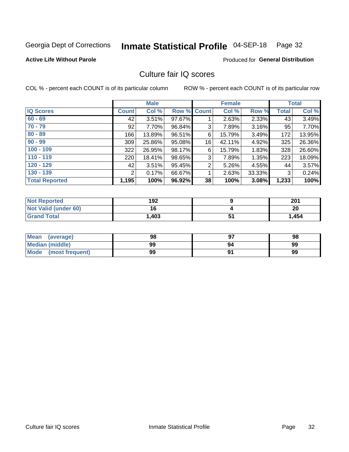#### Inmate Statistical Profile 04-SEP-18 Page 32

#### **Active Life Without Parole**

#### **Produced for General Distribution**

## Culture fair IQ scores

COL % - percent each COUNT is of its particular column

|                       |                | <b>Male</b> |        |             | <b>Female</b> |        |              | <b>Total</b> |
|-----------------------|----------------|-------------|--------|-------------|---------------|--------|--------------|--------------|
| <b>IQ Scores</b>      | <b>Count</b>   | Col %       |        | Row % Count | Col %         | Row %  | <b>Total</b> | Col %        |
| $60 - 69$             | 42             | 3.51%       | 97.67% |             | 2.63%         | 2.33%  | 43           | 3.49%        |
| $70 - 79$             | 92             | 7.70%       | 96.84% | 3           | 7.89%         | 3.16%  | 95           | 7.70%        |
| $80 - 89$             | 166            | 13.89%      | 96.51% | 6           | 15.79%        | 3.49%  | 172          | 13.95%       |
| $90 - 99$             | 309            | 25.86%      | 95.08% | 16          | 42.11%        | 4.92%  | 325          | 26.36%       |
| $100 - 109$           | 322            | 26.95%      | 98.17% | 6           | 15.79%        | 1.83%  | 328          | 26.60%       |
| $110 - 119$           | 220            | 18.41%      | 98.65% | 3           | 7.89%         | 1.35%  | 223          | 18.09%       |
| $120 - 129$           | 42             | 3.51%       | 95.45% | 2           | 5.26%         | 4.55%  | 44           | 3.57%        |
| $130 - 139$           | $\overline{2}$ | 0.17%       | 66.67% | 1           | 2.63%         | 33.33% | 3            | 0.24%        |
| <b>Total Reported</b> | 1,195          | 100%        | 96.92% | 38          | 100%          | 3.08%  | 1,233        | 100%         |

| <b>Not Reported</b>  | 192   |    | 201   |
|----------------------|-------|----|-------|
| Not Valid (under 60) |       |    | 20    |
| <b>Grand Total</b>   | 1,403 | J. | 1,454 |

| Mean<br>(average)      | 98 |    | 98 |
|------------------------|----|----|----|
| <b>Median (middle)</b> | 99 | 94 | 99 |
| Mode (most frequent)   | 99 |    | 99 |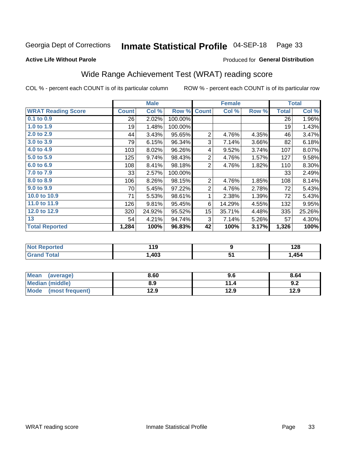#### Inmate Statistical Profile 04-SEP-18 Page 33

#### **Active Life Without Parole**

### Produced for General Distribution

## Wide Range Achievement Test (WRAT) reading score

COL % - percent each COUNT is of its particular column

ROW % - percent each COUNT is of its particular row

 $\overline{51}$ 

|                           |              | <b>Male</b> |         |                | <b>Female</b> |       |              | <b>Total</b> |  |
|---------------------------|--------------|-------------|---------|----------------|---------------|-------|--------------|--------------|--|
| <b>WRAT Reading Score</b> | <b>Count</b> | Col %       | Row %   | <b>Count</b>   | Col %         | Row % | <b>Total</b> | Col %        |  |
| 0.1 to 0.9                | 26           | 2.02%       | 100.00% |                |               |       | 26           | 1.96%        |  |
| 1.0 to 1.9                | 19           | 1.48%       | 100.00% |                |               |       | 19           | 1.43%        |  |
| 2.0 to 2.9                | 44           | 3.43%       | 95.65%  | $\overline{2}$ | 4.76%         | 4.35% | 46           | 3.47%        |  |
| 3.0 to 3.9                | 79           | 6.15%       | 96.34%  | 3              | 7.14%         | 3.66% | 82           | 6.18%        |  |
| 4.0 to 4.9                | 103          | 8.02%       | 96.26%  | 4              | 9.52%         | 3.74% | 107          | 8.07%        |  |
| 5.0 to 5.9                | 125          | 9.74%       | 98.43%  | $\overline{2}$ | 4.76%         | 1.57% | 127          | 9.58%        |  |
| 6.0 to 6.9                | 108          | 8.41%       | 98.18%  | $\overline{2}$ | 4.76%         | 1.82% | 110          | 8.30%        |  |
| 7.0 to 7.9                | 33           | 2.57%       | 100.00% |                |               |       | 33           | 2.49%        |  |
| 8.0 to 8.9                | 106          | 8.26%       | 98.15%  | $\overline{2}$ | 4.76%         | 1.85% | 108          | 8.14%        |  |
| 9.0 to 9.9                | 70           | 5.45%       | 97.22%  | $\overline{2}$ | 4.76%         | 2.78% | 72           | 5.43%        |  |
| 10.0 to 10.9              | 71           | 5.53%       | 98.61%  | 1              | 2.38%         | 1.39% | 72           | 5.43%        |  |
| 11.0 to 11.9              | 126          | 9.81%       | 95.45%  | 6              | 14.29%        | 4.55% | 132          | 9.95%        |  |
| 12.0 to 12.9              | 320          | 24.92%      | 95.52%  | 15             | 35.71%        | 4.48% | 335          | 25.26%       |  |
| 13                        | 54           | 4.21%       | 94.74%  | 3              | 7.14%         | 5.26% | 57           | 4.30%        |  |
| <b>Total Reported</b>     | 1,284        | 100%        | 96.83%  | 42             | 100%          | 3.17% | 1,326        | 100%         |  |
|                           |              |             |         |                |               |       |              |              |  |
| <b>Not Reported</b>       |              | 119         |         |                | 9             |       |              | 128          |  |

| Mean<br>(average)       | 8.60 | 9.6       | 8.64 |
|-------------------------|------|-----------|------|
| Median (middle)         | 8.9  | 44<br>1.4 | 9.2  |
| Mode<br>(most frequent) | 12.9 | 12.9      | 12.9 |

 $1,403$ 

**Grand Total** 

 $1,454$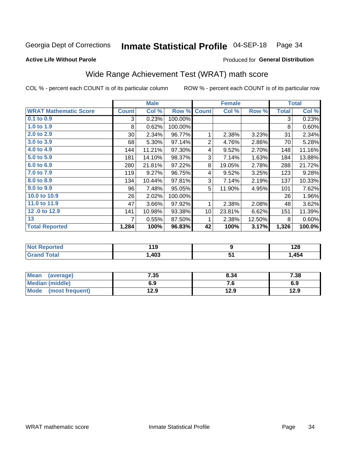#### Inmate Statistical Profile 04-SEP-18 Page 34

#### **Active Life Without Parole**

### Produced for General Distribution

## Wide Range Achievement Test (WRAT) math score

COL % - percent each COUNT is of its particular column

ROW % - percent each COUNT is of its particular row

 $\overline{51}$ 

|                              |              | <b>Male</b> |         |                | <b>Female</b>    |        | <b>Total</b> |        |
|------------------------------|--------------|-------------|---------|----------------|------------------|--------|--------------|--------|
| <b>WRAT Mathematic Score</b> | <b>Count</b> | Col %       | Row %   | <b>Count</b>   | Col %            | Row %  | <b>Total</b> | Col %  |
| $0.1$ to $0.9$               | 3            | 0.23%       | 100.00% |                |                  |        | 3            | 0.23%  |
| 1.0 to 1.9                   | 8            | 0.62%       | 100.00% |                |                  |        | 8            | 0.60%  |
| 2.0 to 2.9                   | 30           | 2.34%       | 96.77%  | 1              | 2.38%            | 3.23%  | 31           | 2.34%  |
| 3.0 to 3.9                   | 68           | 5.30%       | 97.14%  | $\overline{2}$ | 4.76%            | 2.86%  | 70           | 5.28%  |
| 4.0 to 4.9                   | 144          | 11.21%      | 97.30%  | 4              | 9.52%            | 2.70%  | 148          | 11.16% |
| 5.0 to 5.9                   | 181          | 14.10%      | 98.37%  | 3              | 7.14%            | 1.63%  | 184          | 13.88% |
| 6.0 to 6.9                   | 280          | 21.81%      | 97.22%  | 8              | 19.05%           | 2.78%  | 288          | 21.72% |
| 7.0 to 7.9                   | 119          | 9.27%       | 96.75%  | 4              | 9.52%            | 3.25%  | 123          | 9.28%  |
| 8.0 to 8.9                   | 134          | 10.44%      | 97.81%  | 3              | 7.14%            | 2.19%  | 137          | 10.33% |
| 9.0 to 9.9                   | 96           | 7.48%       | 95.05%  | 5              | 11.90%           | 4.95%  | 101          | 7.62%  |
| 10.0 to 10.9                 | 26           | 2.02%       | 100.00% |                |                  |        | 26           | 1.96%  |
| 11.0 to 11.9                 | 47           | 3.66%       | 97.92%  | 1              | 2.38%            | 2.08%  | 48           | 3.62%  |
| 12.0 to 12.9                 | 141          | 10.98%      | 93.38%  | 10             | 23.81%           | 6.62%  | 151          | 11.39% |
| 13                           | 7            | 0.55%       | 87.50%  | 1              | 2.38%            | 12.50% | 8            | 0.60%  |
| <b>Total Reported</b>        | 1,284        | 100%        | 96.83%  | 42             | 100%             | 3.17%  | 1,326        | 100.0% |
|                              |              |             |         |                |                  |        |              |        |
| <b>Not Reported</b>          |              | 119         |         |                | $\boldsymbol{9}$ |        |              | 128    |

| Mean<br>(average)       | 7.35 | 8.34 | 7.38 |
|-------------------------|------|------|------|
| Median (middle)         | 6.9  | п.   | 6.9  |
| Mode<br>(most frequent) | 12.9 | 12.9 | 12.9 |

 $1,403$ 

**Grand Total** 

 $1,454$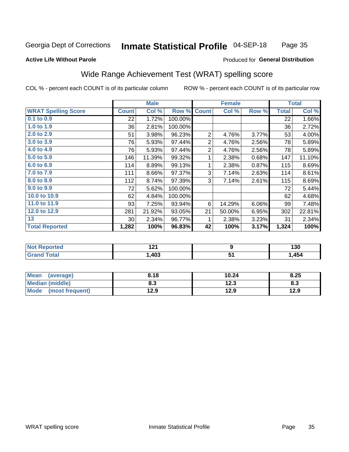#### Inmate Statistical Profile 04-SEP-18 Page 35

#### **Active Life Without Parole**

### Produced for General Distribution

## Wide Range Achievement Test (WRAT) spelling score

COL % - percent each COUNT is of its particular column

ROW % - percent each COUNT is of its particular row

 $12.3$ 

 $12.9$ 

|                            |              | <b>Male</b> |         | <b>Female</b>             |        |       | <b>Total</b> |        |
|----------------------------|--------------|-------------|---------|---------------------------|--------|-------|--------------|--------|
| <b>WRAT Spelling Score</b> | <b>Count</b> | Col %       | Row %   | <b>Count</b>              | Col %  | Row % | <b>Total</b> | Col %  |
| $0.1$ to $0.9$             | 22           | 1.72%       | 100.00% |                           |        |       | 22           | 1.66%  |
| 1.0 to 1.9                 | 36           | 2.81%       | 100.00% |                           |        |       | 36           | 2.72%  |
| 2.0 to 2.9                 | 51           | 3.98%       | 96.23%  | $\overline{2}$            | 4.76%  | 3.77% | 53           | 4.00%  |
| $3.0 t\overline{0}3.9$     | 76           | 5.93%       | 97.44%  | $\boldsymbol{2}$          | 4.76%  | 2.56% | 78           | 5.89%  |
| 4.0 to 4.9                 | 76           | 5.93%       | 97.44%  | $\overline{2}$            | 4.76%  | 2.56% | 78           | 5.89%  |
| 5.0 to 5.9                 | 146          | 11.39%      | 99.32%  | 1                         | 2.38%  | 0.68% | 147          | 11.10% |
| 6.0 to 6.9                 | 114          | 8.89%       | 99.13%  | 1                         | 2.38%  | 0.87% | 115          | 8.69%  |
| 7.0 to 7.9                 | 111          | 8.66%       | 97.37%  | $\ensuremath{\mathsf{3}}$ | 7.14%  | 2.63% | 114          | 8.61%  |
| 8.0 to 8.9                 | 112          | 8.74%       | 97.39%  | 3                         | 7.14%  | 2.61% | 115          | 8.69%  |
| 9.0 to 9.9                 | 72           | 5.62%       | 100.00% |                           |        |       | 72           | 5.44%  |
| 10.0 to 10.9               | 62           | 4.84%       | 100.00% |                           |        |       | 62           | 4.68%  |
| 11.0 to 11.9               | 93           | 7.25%       | 93.94%  | 6                         | 14.29% | 6.06% | 99           | 7.48%  |
| 12.0 to 12.9               | 281          | 21.92%      | 93.05%  | 21                        | 50.00% | 6.95% | 302          | 22.81% |
| 13                         | $30$         | 2.34%       | 96.77%  | 1                         | 2.38%  | 3.23% | 31           | 2.34%  |
| <b>Total Reported</b>      | 1,282        | 100%        | 96.83%  | 42                        | 100%   | 3.17% | 1,324        | 100%   |
|                            |              |             |         |                           |        |       |              |        |
| <b>Not Reported</b>        |              | 121         |         |                           | 9      |       |              | 130    |
| <b>Grand Total</b>         |              | 1,403       |         | $\overline{51}$           |        |       | 1,454        |        |
|                            |              |             |         |                           |        |       |              |        |
| <b>Mean</b><br>(average)   |              | 8.18        |         |                           | 10.24  |       |              | 8.25   |

 $8.3$ 

 $12.9$ 

**Median (middle)** 

(most frequent)

**Mode** 

 $8.3$ 

 $12.9$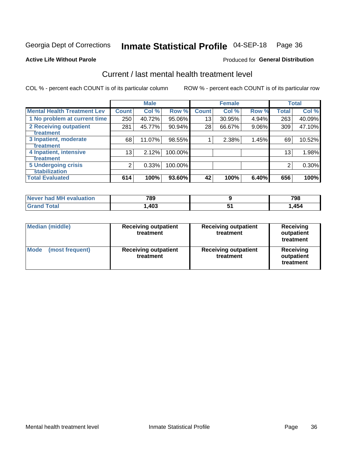## Inmate Statistical Profile 04-SEP-18 Page 36

#### **Active Life Without Parole**

#### Produced for General Distribution

## Current / last mental health treatment level

COL % - percent each COUNT is of its particular column

|                                    |              | <b>Male</b> |         |              | <b>Female</b> |          |                 | <b>Total</b> |
|------------------------------------|--------------|-------------|---------|--------------|---------------|----------|-----------------|--------------|
| <b>Mental Health Treatment Lev</b> | <b>Count</b> | Col %       | Row %   | <b>Count</b> | Col %         | Row %    | <b>Total</b>    | Col %        |
| 1 No problem at current time       | 250          | 40.72%      | 95.06%  | 13           | 30.95%        | 4.94%    | 263             | 40.09%       |
| <b>2 Receiving outpatient</b>      | 281          | 45.77%      | 90.94%  | 28           | 66.67%        | $9.06\%$ | 309             | 47.10%       |
| <b>Treatment</b>                   |              |             |         |              |               |          |                 |              |
| 3 Inpatient, moderate              | 68           | 11.07%      | 98.55%  |              | 2.38%         | 1.45%    | 69              | 10.52%       |
| Treatment                          |              |             |         |              |               |          |                 |              |
| 4 Inpatient, intensive             | 13           | 2.12%       | 100.00% |              |               |          | 13 <sub>1</sub> | 1.98%        |
| Treatment                          |              |             |         |              |               |          |                 |              |
| <b>5 Undergoing crisis</b>         | 2            | 0.33%       | 100.00% |              |               |          | 2               | 0.30%        |
| <b>stabilization</b>               |              |             |         |              |               |          |                 |              |
| <b>Total Evaluated</b>             | 614          | 100%        | 93.60%  | 42           | 100%          | 6.40%    | 656             | 100%         |

| evaluation<br>Never had MI | 789  | 798  |
|----------------------------|------|------|
| int                        | ,403 | ,454 |

| Median (middle)                | <b>Receiving outpatient</b><br>treatment | <b>Receiving outpatient</b><br>treatment | <b>Receiving</b><br>outpatient<br>treatment |  |  |
|--------------------------------|------------------------------------------|------------------------------------------|---------------------------------------------|--|--|
| <b>Mode</b><br>(most frequent) | <b>Receiving outpatient</b><br>treatment | <b>Receiving outpatient</b><br>treatment | <b>Receiving</b><br>outpatient<br>treatment |  |  |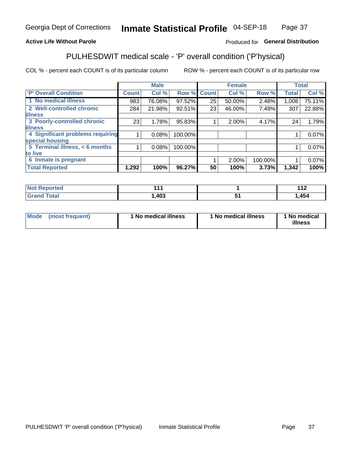#### Inmate Statistical Profile 04-SEP-18 Page 37

### **Active Life Without Parole**

#### Produced for General Distribution

## PULHESDWIT medical scale - 'P' overall condition ('P'hysical)

COL % - percent each COUNT is of its particular column

|                                  |              | <b>Male</b> |             |    | <b>Female</b> |         |              | <b>Total</b> |
|----------------------------------|--------------|-------------|-------------|----|---------------|---------|--------------|--------------|
| 'P' Overall Condition            | <b>Count</b> | Col %       | Row % Count |    | Col %         | Row %   | <b>Total</b> | Col %        |
| 1 No medical illness             | 983          | 76.08%      | 97.52%      | 25 | 50.00%        | 2.48%   | 1,008        | 75.11%       |
| 2 Well-controlled chronic        | 284          | 21.98%      | 92.51%      | 23 | 46.00%        | 7.49%   | 307          | 22.88%       |
| <b>illness</b>                   |              |             |             |    |               |         |              |              |
| 3 Poorly-controlled chronic      | 23           | 1.78%       | 95.83%      |    | $2.00\%$      | 4.17%   | 24           | 1.79%        |
| <b>illness</b>                   |              |             |             |    |               |         |              |              |
| 4 Significant problems requiring |              | 0.08%       | 100.00%     |    |               |         |              | 0.07%        |
| special housing                  |              |             |             |    |               |         |              |              |
| 5 Terminal illness, < 6 months   |              | 0.08%       | 100.00%     |    |               |         |              | 0.07%        |
| to live                          |              |             |             |    |               |         |              |              |
| 6 Inmate is pregnant             |              |             |             |    | 2.00%         | 100.00% |              | 0.07%        |
| <b>Total Reported</b>            | 1,292        | 100%        | 96.27%      | 50 | 100%          | 3.73%   | 1,342        | 100%         |

| <b>prtea</b><br>NOI<br>$\sim$ | л л                |     | . .<br>. .<br>. |
|-------------------------------|--------------------|-----|-----------------|
| $F_{\mathbf{A}}$ ta<br>_____  | $\Delta$ 02<br>10J | $-$ | 454             |

| Mode<br>(most frequent) |  | <sup>1</sup> No medical illness | 1 No medical illness | 1 No medical<br>illness |
|-------------------------|--|---------------------------------|----------------------|-------------------------|
|-------------------------|--|---------------------------------|----------------------|-------------------------|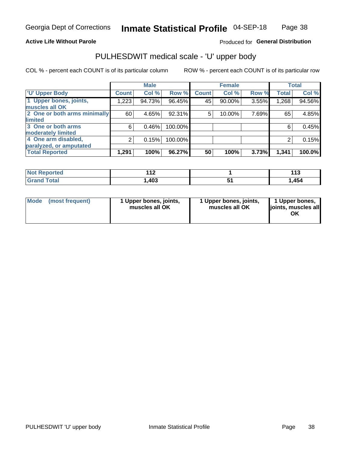#### **Active Life Without Parole**

#### Produced for General Distribution

## PULHESDWIT medical scale - 'U' upper body

COL % - percent each COUNT is of its particular column

|                              |              | <b>Male</b> |         |              | <b>Female</b> |       |              | <b>Total</b> |
|------------------------------|--------------|-------------|---------|--------------|---------------|-------|--------------|--------------|
| <b>'U' Upper Body</b>        | <b>Count</b> | Col %       | Row %   | <b>Count</b> | Col %         | Row % | <b>Total</b> | Col %        |
| 1 Upper bones, joints,       | 1,223        | 94.73%      | 96.45%  | 45           | 90.00%        | 3.55% | 1,268        | 94.56%       |
| muscles all OK               |              |             |         |              |               |       |              |              |
| 2 One or both arms minimally | 60           | 4.65%       | 92.31%  | 5            | 10.00%        | 7.69% | 65           | 4.85%        |
| limited                      |              |             |         |              |               |       |              |              |
| 3 One or both arms           | 6            | 0.46%       | 100.00% |              |               |       | 6            | 0.45%        |
| <b>moderately limited</b>    |              |             |         |              |               |       |              |              |
| 4 One arm disabled,          | 2            | 0.15%       | 100.00% |              |               |       | 2            | 0.15%        |
| paralyzed, or amputated      |              |             |         |              |               |       |              |              |
| <b>Total Reported</b>        | 1,291        | 100%        | 96.27%  | 50           | 100%          | 3.73% | 1,341        | 100.0%       |

| <b>Not Reported</b><br>. <b>.</b> | .<br>$\cdot$ . The set of $\sim$ | $\overline{44}$<br>ט ו |
|-----------------------------------|----------------------------------|------------------------|
| <b>Total</b>                      | ,403                             | ,454                   |

| Mode | (most frequent) | 1 Upper bones, joints,<br>muscles all OK | 1 Upper bones, joints,<br>muscles all OK | 1 Upper bones,<br>ljoints, muscles all<br>OK |
|------|-----------------|------------------------------------------|------------------------------------------|----------------------------------------------|
|------|-----------------|------------------------------------------|------------------------------------------|----------------------------------------------|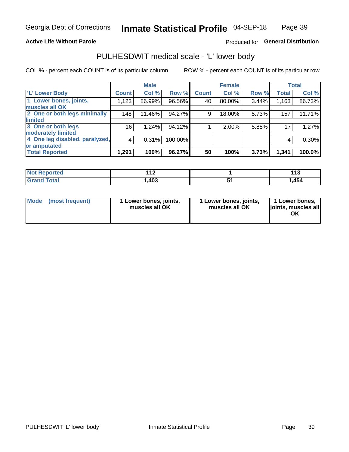#### **Active Life Without Parole**

### Produced for General Distribution

## PULHESDWIT medical scale - 'L' lower body

COL % - percent each COUNT is of its particular column

|                                |              | <b>Male</b> |           |              | <b>Female</b> |       |              | <b>Total</b> |
|--------------------------------|--------------|-------------|-----------|--------------|---------------|-------|--------------|--------------|
| 'L' Lower Body                 | <b>Count</b> | Col %       | Row %     | <b>Count</b> | Col %         | Row % | <b>Total</b> | Col %        |
| 1 Lower bones, joints,         | 1,123        | 86.99%      | 96.56%    | 40           | 80.00%        | 3.44% | 1,163        | 86.73%       |
| muscles all OK                 |              |             |           |              |               |       |              |              |
| 2 One or both legs minimally   | 148          | 11.46%      | 94.27%    | 9            | 18.00%        | 5.73% | 157          | 11.71%       |
| limited                        |              |             |           |              |               |       |              |              |
| 3 One or both legs             | 16           | 1.24%       | 94.12%    |              | 2.00%         | 5.88% | 17           | 1.27%        |
| moderately limited             |              |             |           |              |               |       |              |              |
| 4 One leg disabled, paralyzed, | 4            | 0.31%       | 100.00%   |              |               |       | 4            | $0.30\%$     |
| or amputated                   |              |             |           |              |               |       |              |              |
| <b>Total Reported</b>          | 1,291        | 100%        | $96.27\%$ | 50           | 100%          | 3.73% | 1,341        | 100.0%       |

| <b>Not Reported</b><br>. <b>.</b> | .<br>$\cdot$ . The set of $\sim$ | $\overline{44}$<br>ט ו |
|-----------------------------------|----------------------------------|------------------------|
| <b>Total</b>                      | ,403                             | ,454                   |

| Mode | (most frequent) | 1 Lower bones, joints,<br>muscles all OK | 1 Lower bones, joints,<br>muscles all OK | 1 Lower bones,<br>ljoints, muscles all<br>ΟK |
|------|-----------------|------------------------------------------|------------------------------------------|----------------------------------------------|
|------|-----------------|------------------------------------------|------------------------------------------|----------------------------------------------|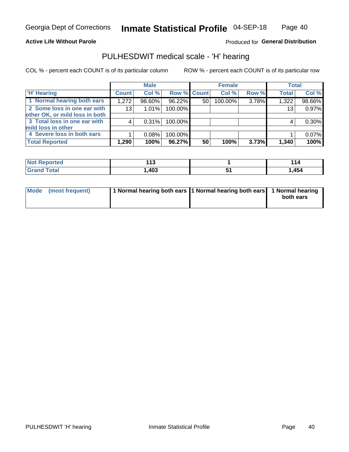#### **Active Life Without Parole**

Produced for General Distribution

### PULHESDWIT medical scale - 'H' hearing

COL % - percent each COUNT is of its particular column

|                                |                 | <b>Male</b> |             |    | <b>Female</b> |       | <b>Total</b> |          |
|--------------------------------|-----------------|-------------|-------------|----|---------------|-------|--------------|----------|
| <b>H' Hearing</b>              | <b>Count</b>    | Col %       | Row % Count |    | Col %         | Row % | <b>Total</b> | Col %    |
| 1 Normal hearing both ears     | 1,272           | 98.60%      | 96.22%      | 50 | 100.00%       | 3.78% | 1,322        | 98.66%   |
| 2 Some loss in one ear with    | 13 <sub>1</sub> | 1.01%       | 100.00%     |    |               |       | 13           | 0.97%    |
| other OK, or mild loss in both |                 |             |             |    |               |       |              |          |
| 3 Total loss in one ear with   | 4               | 0.31%       | 100.00%     |    |               |       | 4            | $0.30\%$ |
| mild loss in other             |                 |             |             |    |               |       |              |          |
| 4 Severe loss in both ears     |                 | 0.08%       | 100.00%     |    |               |       |              | 0.07%    |
| <b>Total Reported</b>          | 1,290           | 100%        | 96.27%      | 50 | 100%          | 3.73% | 1,340        | 100%     |

| <b>Not</b><br>Reported | - -<br>. .<br>. J | $\overline{A}$<br>l 14 |
|------------------------|-------------------|------------------------|
| <b>cotal</b>           | ,403              | ,454                   |

| Mode (most frequent) | 1 Normal hearing both ears 1 Normal hearing both ears 1 Normal hearing | both ears |
|----------------------|------------------------------------------------------------------------|-----------|
|                      |                                                                        |           |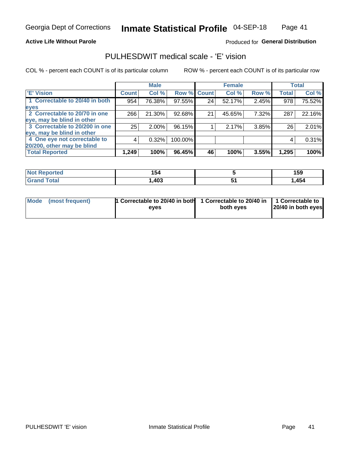#### **Active Life Without Parole**

#### Produced for General Distribution

## PULHESDWIT medical scale - 'E' vision

COL % - percent each COUNT is of its particular column

|                                |                    | <b>Male</b> |             |    | <b>Female</b> |       |              | <b>Total</b> |
|--------------------------------|--------------------|-------------|-------------|----|---------------|-------|--------------|--------------|
| <b>E' Vision</b>               | Count <sup>'</sup> | Col %       | Row % Count |    | Col %         | Row % | <b>Total</b> | Col %        |
| 1 Correctable to 20/40 in both | 954                | 76.38%      | 97.55%      | 24 | 52.17%        | 2.45% | 978          | 75.52%       |
| eyes                           |                    |             |             |    |               |       |              |              |
| 2 Correctable to 20/70 in one  | 266                | 21.30%      | 92.68%      | 21 | 45.65%        | 7.32% | 287          | 22.16%       |
| eye, may be blind in other     |                    |             |             |    |               |       |              |              |
| 3 Correctable to 20/200 in one | 25 <sub>1</sub>    | $2.00\%$    | 96.15%      |    | 2.17%         | 3.85% | 26           | 2.01%        |
| eye, may be blind in other     |                    |             |             |    |               |       |              |              |
| 4 One eye not correctable to   | 4                  | 0.32%       | 100.00%     |    |               |       | 4            | 0.31%        |
| 20/200, other may be blind     |                    |             |             |    |               |       |              |              |
| <b>Total Reported</b>          | 1,249              | 100%        | 96.45%      | 46 | 100%          | 3.55% | 1,295        | 100%         |

| <b>Not Reported</b><br>$\cdots$ | .<br>I J4 | 159  |
|---------------------------------|-----------|------|
| Total                           | ,403      | ,454 |

| Mode (most frequent) | 1 Correctable to 20/40 in both<br>eves | 1 Correctable to 20/40 in   1 Correctable to<br>both eyes | 20/40 in both eyes |
|----------------------|----------------------------------------|-----------------------------------------------------------|--------------------|
|                      |                                        |                                                           |                    |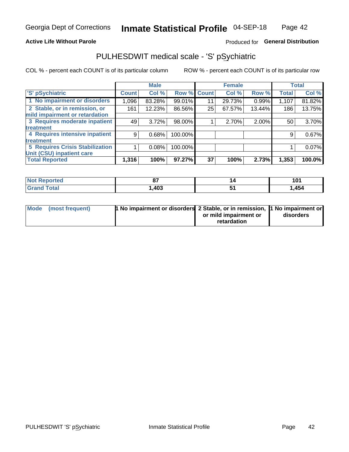#### **Active Life Without Parole**

### Produced for General Distribution

## PULHESDWIT medical scale - 'S' pSychiatric

COL % - percent each COUNT is of its particular column

|                                        |              | <b>Male</b> |         |             | <b>Female</b> |        |              | <b>Total</b> |
|----------------------------------------|--------------|-------------|---------|-------------|---------------|--------|--------------|--------------|
| 'S' pSychiatric                        | <b>Count</b> | Col %       |         | Row % Count | Col %         | Row %  | <b>Total</b> | Col %        |
| 1 No impairment or disorders           | 1,096        | 83.28%      | 99.01%  | 11          | 29.73%        | 0.99%  | 1,107        | 81.82%       |
| 2 Stable, or in remission, or          | 161          | 12.23%      | 86.56%  | 25          | 67.57%        | 13.44% | 186          | 13.75%       |
| mild impairment or retardation         |              |             |         |             |               |        |              |              |
| 3 Requires moderate inpatient          | 49           | 3.72%       | 98.00%  |             | 2.70%         | 2.00%  | 50           | 3.70%        |
| treatment                              |              |             |         |             |               |        |              |              |
| 4 Requires intensive inpatient         | 9            | 0.68%       | 100.00% |             |               |        | 9            | 0.67%        |
| treatment                              |              |             |         |             |               |        |              |              |
| <b>5 Requires Crisis Stabilization</b> |              | 0.08%       | 100.00% |             |               |        |              | 0.07%        |
| Unit (CSU) inpatient care              |              |             |         |             |               |        |              |              |
| <b>Total Reported</b>                  | 1,316        | 100%        | 97.27%  | 37          | 100%          | 2.73%  | 1,353        | 100.0%       |

| <b>Not Reported</b>  | $\sim$ | . . | $\sim$ |
|----------------------|--------|-----|--------|
|                      | v,     |     | 1 V I  |
| <b>Total</b><br>Cron | ,403   |     | ,454   |

| Mode (most frequent) | <b>1 No impairment or disorders</b> 2 Stable, or in remission, 11 No impairment or |                       |           |
|----------------------|------------------------------------------------------------------------------------|-----------------------|-----------|
|                      |                                                                                    | or mild impairment or | disorders |
|                      |                                                                                    | retardation           |           |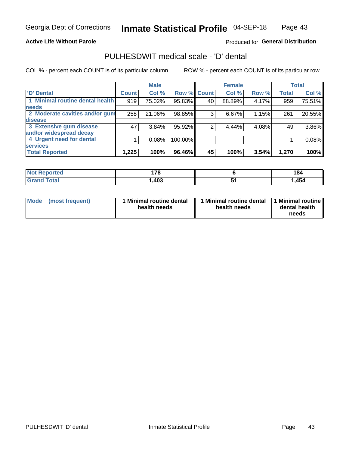#### **Active Life Without Parole**

#### Produced for General Distribution

## PULHESDWIT medical scale - 'D' dental

COL % - percent each COUNT is of its particular column

|                                 |                    | <b>Male</b> |         |              | <b>Female</b> |       |              | <b>Total</b> |
|---------------------------------|--------------------|-------------|---------|--------------|---------------|-------|--------------|--------------|
| <b>D'</b> Dental                | Count <sup>'</sup> | Col %       | Row %   | <b>Count</b> | Col %         | Row % | <b>Total</b> | Col %        |
| 1 Minimal routine dental health | 919                | 75.02%      | 95.83%  | 40           | 88.89%        | 4.17% | 959          | 75.51%       |
| <b>needs</b>                    |                    |             |         |              |               |       |              |              |
| 2 Moderate cavities and/or gum  | 258                | 21.06%      | 98.85%  | 3            | 6.67%         | 1.15% | 261          | 20.55%       |
| disease                         |                    |             |         |              |               |       |              |              |
| 3 Extensive gum disease         | 47                 | 3.84%       | 95.92%  |              | 4.44%         | 4.08% | 49           | 3.86%        |
| and/or widespread decay         |                    |             |         |              |               |       |              |              |
| 4 Urgent need for dental        |                    | 0.08%       | 100.00% |              |               |       |              | 0.08%        |
| <b>services</b>                 |                    |             |         |              |               |       |              |              |
| <b>Total Reported</b>           | 1,225              | 100%        | 96.46%  | 45           | 100%          | 3.54% | 1,270        | 100%         |

| <b>Not Reported</b><br>$\sim$ | 470  |                      | 184   |
|-------------------------------|------|----------------------|-------|
| Total                         | ,403 | $\ddot{\phantom{1}}$ | 1,454 |

| <b>Mode</b> | (most frequent) | <b>Minimal routine dental</b><br>health needs | 1 Minimal routine dental<br>health needs | <b>11 Minimal routine I</b><br>dental health<br>needs |
|-------------|-----------------|-----------------------------------------------|------------------------------------------|-------------------------------------------------------|
|-------------|-----------------|-----------------------------------------------|------------------------------------------|-------------------------------------------------------|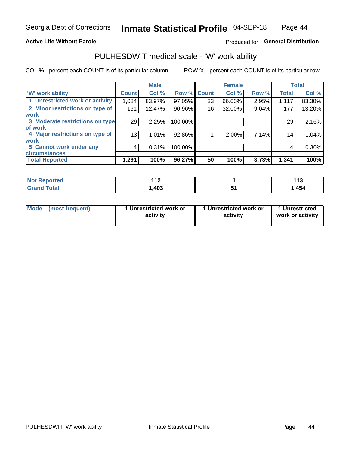#### **Active Life Without Parole**

#### Produced for General Distribution

### PULHESDWIT medical scale - 'W' work ability

COL % - percent each COUNT is of its particular column

|                                 |                 | <b>Male</b> |         |             | <b>Female</b> |       |              | <b>Total</b> |
|---------------------------------|-----------------|-------------|---------|-------------|---------------|-------|--------------|--------------|
| <b>W' work ability</b>          | <b>Count</b>    | Col %       |         | Row % Count | Col %         | Row % | <b>Total</b> | Col %        |
| 1 Unrestricted work or activity | 1,084           | 83.97%      | 97.05%  | 33          | 66.00%        | 2.95% | 1,117        | 83.30%       |
| 2 Minor restrictions on type of | 161             | 12.47%      | 90.96%  | 16          | 32.00%        | 9.04% | 177          | 13.20%       |
| <b>work</b>                     |                 |             |         |             |               |       |              |              |
| 3 Moderate restrictions on type | 29              | 2.25%       | 100.00% |             |               |       | 29           | 2.16%        |
| lof work                        |                 |             |         |             |               |       |              |              |
| 4 Major restrictions on type of | 13 <sub>1</sub> | 1.01%       | 92.86%  |             | 2.00%         | 7.14% | 14           | 1.04%        |
| <b>work</b>                     |                 |             |         |             |               |       |              |              |
| 5 Cannot work under any         | 4               | 0.31%       | 100.00% |             |               |       | 4            | 0.30%        |
| <b>circumstances</b>            |                 |             |         |             |               |       |              |              |
| <b>Total Reported</b>           | 1,291           | 100%        | 96.27%  | 50          | 100%          | 3.73% | 1,341        | 100%         |

| <b>Not Reported</b>   | 44 <sup>o</sup><br>. . | 1 4 F<br>. |
|-----------------------|------------------------|------------|
| <b>Total</b><br>Grand | ,403                   | .454       |

| Mode            | 1 Unrestricted work or | 1 Unrestricted work or | 1 Unrestricted   |
|-----------------|------------------------|------------------------|------------------|
| (most frequent) | activity               | activity               | work or activity |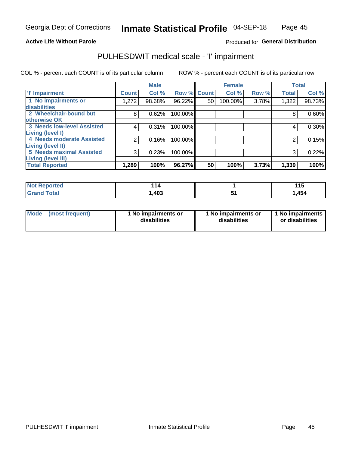#### **Active Life Without Parole**

#### Produced for General Distribution

## PULHESDWIT medical scale - 'I' impairment

COL % - percent each COUNT is of its particular column ROW % - percent each COUNT is of its particular row

|                                   |              | <b>Male</b> |             |    | <b>Female</b> |       |              | <b>Total</b> |
|-----------------------------------|--------------|-------------|-------------|----|---------------|-------|--------------|--------------|
| <b>T' Impairment</b>              | <b>Count</b> | Col %       | Row % Count |    | Col %         | Row % | <b>Total</b> | Col %        |
| 1 No impairments or               | 1,272        | 98.68%      | 96.22%      | 50 | 100.00%       | 3.78% | 1,322        | 98.73%       |
| <b>disabilities</b>               |              |             |             |    |               |       |              |              |
| 2 Wheelchair-bound but            | 8            | 0.62%       | 100.00%     |    |               |       | 8            | 0.60%        |
| otherwise OK                      |              |             |             |    |               |       |              |              |
| <b>3 Needs low-level Assisted</b> | 4            | 0.31%       | 100.00%     |    |               |       | 4            | $0.30\%$     |
| Living (level I)                  |              |             |             |    |               |       |              |              |
| 4 Needs moderate Assisted         | 2            | 0.16%       | 100.00%     |    |               |       |              | 0.15%        |
| Living (level II)                 |              |             |             |    |               |       |              |              |
| <b>5 Needs maximal Assisted</b>   | 3            | 0.23%       | 100.00%     |    |               |       | 3            | 0.22%        |
| <b>Living (level III)</b>         |              |             |             |    |               |       |              |              |
| <b>Total Reported</b>             | 1,289        | 100%        | 96.27%      | 50 | 100%          | 3.73% | 1,339        | 100%         |

| prted | -4<br>14 | 1 4 C<br>. |
|-------|----------|------------|
| 'ota. | ,403     | ,454       |

| <b>Mode</b> | (most frequent) | <b>No impairments or</b><br>disabilities | 1 No impairments or<br>disabilities | 1 No impairments<br>or disabilities |
|-------------|-----------------|------------------------------------------|-------------------------------------|-------------------------------------|
|-------------|-----------------|------------------------------------------|-------------------------------------|-------------------------------------|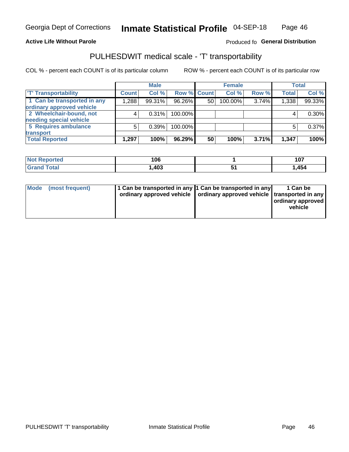#### **Active Life Without Parole**

#### Produced fo General Distribution

## PULHESDWIT medical scale - 'T' transportability

COL % - percent each COUNT is of its particular column

|                             |              | <b>Male</b> |             |    | <b>Female</b> |       |              | <b>Total</b> |
|-----------------------------|--------------|-------------|-------------|----|---------------|-------|--------------|--------------|
| <b>T' Transportability</b>  | <b>Count</b> | Col %       | Row % Count |    | Col %         | Row % | <b>Total</b> | Col %        |
| 1 Can be transported in any | 1,288        | 99.31%      | 96.26%      | 50 | 100.00%       | 3.74% | 1,338        | 99.33%       |
| ordinary approved vehicle   |              |             |             |    |               |       |              |              |
| 2 Wheelchair-bound, not     |              | 0.31%       | 100.00%     |    |               |       |              | $0.30\%$     |
| needing special vehicle     |              |             |             |    |               |       |              |              |
| 5 Requires ambulance        | 5            | 0.39%       | 100.00%     |    |               |       |              | 0.37%        |
| transport                   |              |             |             |    |               |       |              |              |
| <b>Total Reported</b>       | 1,297        | 100%        | 96.29%      | 50 | 100%          | 3.71% | 1,347        | 100%         |

| orted       | 106  | 107    |
|-------------|------|--------|
| <b>otal</b> | ,403 | . 454، |

| Mode | (most frequent) | 1 Can be transported in any 1 Can be transported in any | ordinary approved vehicle   ordinary approved vehicle   transported in any | 1 Can be<br>  ordinary approved<br>vehicle |
|------|-----------------|---------------------------------------------------------|----------------------------------------------------------------------------|--------------------------------------------|
|      |                 |                                                         |                                                                            |                                            |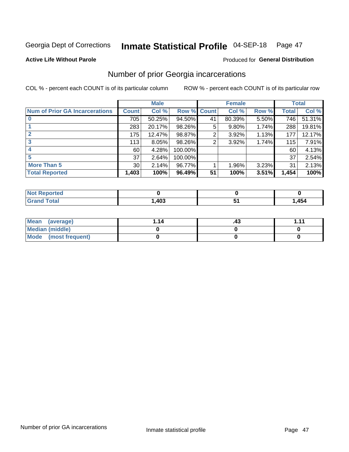#### Inmate Statistical Profile 04-SEP-18 Page 47

#### **Active Life Without Parole**

#### Produced for General Distribution

## Number of prior Georgia incarcerations

COL % - percent each COUNT is of its particular column

|                                       |                 | <b>Male</b> |                    |    | <b>Female</b> |       |       | <b>Total</b> |
|---------------------------------------|-----------------|-------------|--------------------|----|---------------|-------|-------|--------------|
| <b>Num of Prior GA Incarcerations</b> | <b>Count</b>    | Col %       | <b>Row % Count</b> |    | Col %         | Row % | Total | Col %        |
|                                       | 705             | 50.25%      | 94.50%             | 41 | 80.39%        | 5.50% | 746   | 51.31%       |
|                                       | 283             | 20.17%      | 98.26%             | 5  | 9.80%         | 1.74% | 288   | 19.81%       |
|                                       | 175             | 12.47%      | 98.87%             | 2  | 3.92%         | 1.13% | 177   | 12.17%       |
| 3                                     | 113             | 8.05%       | 98.26%             | 2  | 3.92%         | 1.74% | 115   | 7.91%        |
|                                       | 60              | 4.28%       | 100.00%            |    |               |       | 60    | 4.13%        |
| 5                                     | 37              | 2.64%       | 100.00%            |    |               |       | 37    | 2.54%        |
| <b>More Than 5</b>                    | 30 <sup>2</sup> | 2.14%       | 96.77%             |    | 1.96%         | 3.23% | 31    | 2.13%        |
| <b>Total Reported</b>                 | 1,403           | 100%        | 96.49%             | 51 | 100%          | 3.51% | 1,454 | 100%         |

| orted<br><b>N</b>                |                     |       |
|----------------------------------|---------------------|-------|
| <b>Total</b><br>$\mathbf{v}$ and | $\mathbf{A}$<br>40J | 1,454 |

| Mean (average)       | 1.14 | ن ۲. | 444 |
|----------------------|------|------|-----|
| Median (middle)      |      |      |     |
| Mode (most frequent) |      |      |     |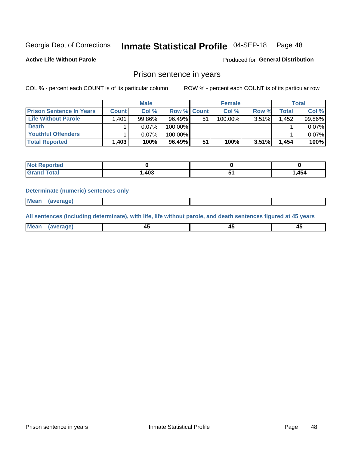#### Inmate Statistical Profile 04-SEP-18 Page 48

**Active Life Without Parole** 

Produced for General Distribution

### Prison sentence in years

COL % - percent each COUNT is of its particular column

ROW % - percent each COUNT is of its particular row

|                                 | <b>Male</b>  |          |                    | <b>Female</b> |            |          | Total              |        |
|---------------------------------|--------------|----------|--------------------|---------------|------------|----------|--------------------|--------|
| <b>Prison Sentence In Years</b> | <b>Count</b> | Col %    | <b>Row % Count</b> |               | Col %      | Row %    | Total <sub>1</sub> | Col %  |
| Life Without Parole             | 1,401        | 99.86%   | 96.49%             | 51            | $100.00\%$ | $3.51\%$ | 1.452              | 99.86% |
| <b>Death</b>                    |              | $0.07\%$ | 100.00%            |               |            |          |                    | 0.07%  |
| <b>Youthful Offenders</b>       |              | $0.07\%$ | 100.00%            |               |            |          |                    | 0.07%  |
| <b>Total Reported</b>           | 1,403        | 100%     | 96.49%             | 51            | 100%       | $3.51\%$ | 1.454              | 100%   |

| <b>Not Reported</b> |      |        |  |
|---------------------|------|--------|--|
| Total               | ,403 | 454, ا |  |

#### **Determinate (numeric) sentences only**

**Mean** (average)

All sentences (including determinate), with life, life without parole, and death sentences figured at 45 years

| l Mea | --     | --     |  |
|-------|--------|--------|--|
| апе   | $\sim$ | $\sim$ |  |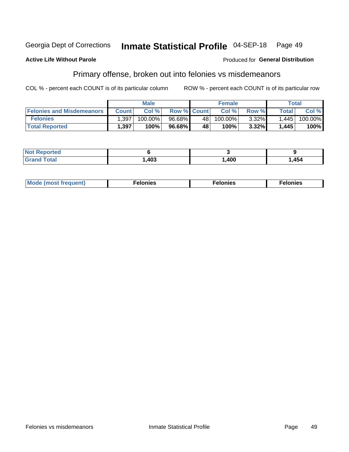#### Georgia Dept of Corrections Inmate Statistical Profile 04-SEP-18 Page 49

#### **Active Life Without Parole**

#### Produced for General Distribution

## Primary offense, broken out into felonies vs misdemeanors

COL % - percent each COUNT is of its particular column

|                                  | <b>Male</b>  |         |                    | <b>Female</b>   |            |          | Total        |         |  |
|----------------------------------|--------------|---------|--------------------|-----------------|------------|----------|--------------|---------|--|
| <b>Felonies and Misdemeanors</b> | <b>Count</b> | Col%    | <b>Row % Count</b> |                 | Col%       | Row %    | <b>Total</b> | Col %   |  |
| <b>Felonies</b>                  | .397         | 100.00% | 96.68%             | 48 <sup>1</sup> | $100.00\%$ | $3.32\%$ | 1.445        | 100.00% |  |
| <b>Total Reported</b>            | .397         | 100%    | 96.68%             | 48              | 100%       | 3.32%    | 1,445        | 100%    |  |

| <b>Not Reported</b> |      |      |      |
|---------------------|------|------|------|
| <b>Grand Total</b>  | ,403 | ,400 | .454 |

| $Mc$<br>equent)<br>нез<br>$\sim$<br>. | onies<br>. | <b>onies</b><br>. |
|---------------------------------------|------------|-------------------|
|---------------------------------------|------------|-------------------|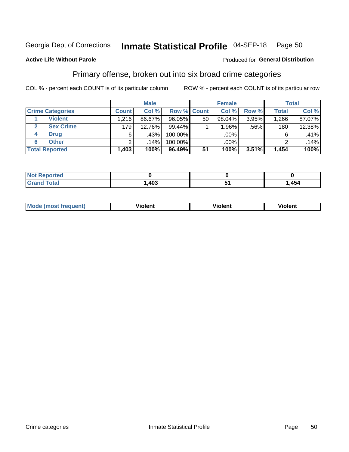#### Inmate Statistical Profile 04-SEP-18 Page 50

#### **Active Life Without Parole**

#### Produced for General Distribution

## Primary offense, broken out into six broad crime categories

COL % - percent each COUNT is of its particular column

|                         | <b>Male</b>  |        |         | <b>Female</b> |           |       | <b>Total</b>     |        |  |
|-------------------------|--------------|--------|---------|---------------|-----------|-------|------------------|--------|--|
| <b>Crime Categories</b> | <b>Count</b> | Col %  |         | Row % Count   | Col %     | Row % | <b>Total</b>     | Col %  |  |
| <b>Violent</b>          | 1,216        | 86.67% | 96.05%  | 50            | $98.04\%$ | 3.95% | 1,266            | 87.07% |  |
| <b>Sex Crime</b>        | 179          | 12.76% | 99.44%  |               | 1.96%     | .56%  | 180 <sub>1</sub> | 12.38% |  |
| <b>Drug</b><br>4        | 6            | .43%   | 100.00% |               | .00%      |       | 6                | .41%   |  |
| <b>Other</b><br>6       | ົ            | .14%   | 100.00% |               | .00%      |       |                  | .14%   |  |
| <b>Total Reported</b>   | 1,403        | 100%   | 96.49%  | 51            | 100%      | 3.51% | 1,454            | 100%   |  |

| <b>Not Reported</b> |      |     |
|---------------------|------|-----|
| <b>Total</b>        | ,403 | 454 |

| <b>Mode (most frequent)</b> |         |                | --             |
|-----------------------------|---------|----------------|----------------|
|                             | violent | <b>Violent</b> | <b>Violent</b> |
|                             |         |                |                |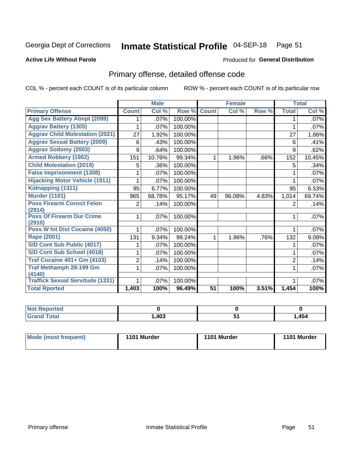## Inmate Statistical Profile 04-SEP-18 Page 51

#### **Active Life Without Parole**

#### Produced for General Distribution

## Primary offense, detailed offense code

COL % - percent each COUNT is of its particular column

|                                            |                | <b>Male</b> |         |                 | <b>Female</b> |       |                | <b>Total</b> |
|--------------------------------------------|----------------|-------------|---------|-----------------|---------------|-------|----------------|--------------|
| <b>Primary Offense</b>                     | <b>Count</b>   | Col %       | Row %   | <b>Count</b>    | Col %         | Row % | <b>Total</b>   | Col %        |
| <b>Agg Sex Battery Atmpt (2099)</b>        |                | .07%        | 100.00% |                 |               |       | 1              | .07%         |
| <b>Aggrav Battery (1305)</b>               | 1              | .07%        | 100.00% |                 |               |       | 1              | .07%         |
| <b>Aggrav Child Molestation (2021)</b>     | 27             | 1.92%       | 100.00% |                 |               |       | 27             | 1.86%        |
| <b>Aggrav Sexual Battery (2009)</b>        | 6              | .43%        | 100.00% |                 |               |       | 6              | .41%         |
| <b>Aggrav Sodomy (2003)</b>                | 9              | .64%        | 100.00% |                 |               |       | 9              | .62%         |
| <b>Armed Robbery (1902)</b>                | 151            | 10.76%      | 99.34%  | 1               | 1.96%         | .66%  | 152            | 10.45%       |
| <b>Child Molestation (2019)</b>            | 5              | .36%        | 100.00% |                 |               |       | 5              | .34%         |
| <b>False Imprisonment (1308)</b>           |                | .07%        | 100.00% |                 |               |       |                | .07%         |
| <b>Hijacking Motor Vehicle (1911)</b>      |                | .07%        | 100.00% |                 |               |       |                | .07%         |
| Kidnapping (1311)                          | 95             | 6.77%       | 100.00% |                 |               |       | 95             | 6.53%        |
| <b>Murder (1101)</b>                       | 965            | 68.78%      | 95.17%  | 49              | 96.08%        | 4.83% | 1,014          | 69.74%       |
| <b>Poss Firearm Convct Felon</b>           | $\overline{2}$ | .14%        | 100.00% |                 |               |       | 2              | .14%         |
| (2914)                                     |                |             |         |                 |               |       |                |              |
| <b>Poss Of Firearm Dur Crime</b><br>(2910) | 1              | .07%        | 100.00% |                 |               |       |                | .07%         |
| Poss W Int Dist Cocaine (4050)             | 1              | .07%        | 100.00% |                 |               |       |                | .07%         |
| Rape (2001)                                | 131            | 9.34%       | 99.24%  | 1               | 1.96%         | .76%  | 132            | 9.08%        |
| S/D Cont Sub Public (4017)                 |                | .07%        | 100.00% |                 |               |       |                | .07%         |
| S/D Cont Sub School (4018)                 | 1              | .07%        | 100.00% |                 |               |       | 1              | .07%         |
| <b>Traf Cocaine 401+ Gm (4103)</b>         | 2              | .14%        | 100.00% |                 |               |       | $\overline{2}$ | .14%         |
| <b>Traf Methamph 28-199 Gm</b>             | 1              | .07%        | 100.00% |                 |               |       | 1              | .07%         |
| (4140)                                     |                |             |         |                 |               |       |                |              |
| <b>Traffick Sexual Servitude (1331)</b>    | 1              | .07%        | 100.00% |                 |               |       | 1              | .07%         |
| <b>Total Rported</b>                       | 1,403          | 100%        | 96.49%  | $\overline{51}$ | 100%          | 3.51% | 1,454          | 100%         |

| Reported<br>' NOT |            |    |              |
|-------------------|------------|----|--------------|
| Гоtal             | 102<br>70J | יש | <b>1,454</b> |

| Mode (most frequent) | 1101 Murder | 1101 Murder | 1101 Murder |
|----------------------|-------------|-------------|-------------|
|                      |             |             |             |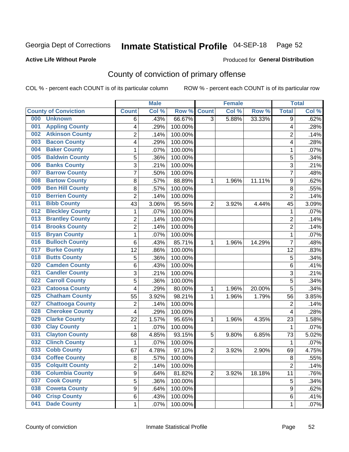## Inmate Statistical Profile 04-SEP-18 Page 52

#### **Active Life Without Parole**

#### Produced for General Distribution

## County of conviction of primary offense

COL % - percent each COUNT is of its particular column

|                                |                | <b>Male</b> |         |                | <b>Female</b> |        |                | <b>Total</b> |
|--------------------------------|----------------|-------------|---------|----------------|---------------|--------|----------------|--------------|
| <b>County of Conviction</b>    | <b>Count</b>   | Col %       | Row %   | <b>Count</b>   | Col %         | Row %  | <b>Total</b>   | Col %        |
| 000<br><b>Unknown</b>          | 6              | .43%        | 66.67%  | $\overline{3}$ | 5.88%         | 33.33% | 9              | .62%         |
| <b>Appling County</b><br>001   | 4              | .29%        | 100.00% |                |               |        | 4              | .28%         |
| <b>Atkinson County</b><br>002  | $\overline{c}$ | .14%        | 100.00% |                |               |        | $\overline{c}$ | .14%         |
| <b>Bacon County</b><br>003     | 4              | .29%        | 100.00% |                |               |        | 4              | .28%         |
| <b>Baker County</b><br>004     | 1              | .07%        | 100.00% |                |               |        | 1              | .07%         |
| <b>Baldwin County</b><br>005   | 5              | .36%        | 100.00% |                |               |        | 5              | .34%         |
| <b>Banks County</b><br>006     | 3              | .21%        | 100.00% |                |               |        | 3              | .21%         |
| <b>Barrow County</b><br>007    | 7              | .50%        | 100.00% |                |               |        | 7              | .48%         |
| <b>Bartow County</b><br>008    | 8              | .57%        | 88.89%  | 1              | 1.96%         | 11.11% | 9              | .62%         |
| <b>Ben Hill County</b><br>009  | 8              | .57%        | 100.00% |                |               |        | 8              | .55%         |
| <b>Berrien County</b><br>010   | $\overline{c}$ | .14%        | 100.00% |                |               |        | $\overline{2}$ | .14%         |
| <b>Bibb County</b><br>011      | 43             | 3.06%       | 95.56%  | $\overline{2}$ | 3.92%         | 4.44%  | 45             | 3.09%        |
| <b>Bleckley County</b><br>012  | 1              | .07%        | 100.00% |                |               |        | 1              | .07%         |
| <b>Brantley County</b><br>013  | $\overline{c}$ | .14%        | 100.00% |                |               |        | $\overline{2}$ | .14%         |
| <b>Brooks County</b><br>014    | $\overline{2}$ | .14%        | 100.00% |                |               |        | $\overline{2}$ | .14%         |
| <b>Bryan County</b><br>015     | 1              | .07%        | 100.00% |                |               |        | 1              | .07%         |
| <b>Bulloch County</b><br>016   | 6              | .43%        | 85.71%  | 1              | 1.96%         | 14.29% | $\overline{7}$ | .48%         |
| <b>Burke County</b><br>017     | 12             | .86%        | 100.00% |                |               |        | 12             | .83%         |
| <b>Butts County</b><br>018     | $\overline{5}$ | .36%        | 100.00% |                |               |        | 5              | .34%         |
| <b>Camden County</b><br>020    | 6              | .43%        | 100.00% |                |               |        | 6              | .41%         |
| <b>Candler County</b><br>021   | 3              | .21%        | 100.00% |                |               |        | 3              | .21%         |
| <b>Carroll County</b><br>022   | 5              | .36%        | 100.00% |                |               |        | 5              | .34%         |
| <b>Catoosa County</b><br>023   | 4              | .29%        | 80.00%  | 1              | 1.96%         | 20.00% | 5              | .34%         |
| <b>Chatham County</b><br>025   | 55             | 3.92%       | 98.21%  | 1              | 1.96%         | 1.79%  | 56             | 3.85%        |
| <b>Chattooga County</b><br>027 | $\overline{2}$ | .14%        | 100.00% |                |               |        | $\overline{2}$ | .14%         |
| <b>Cherokee County</b><br>028  | 4              | .29%        | 100.00% |                |               |        | 4              | .28%         |
| <b>Clarke County</b><br>029    | 22             | 1.57%       | 95.65%  | 1              | 1.96%         | 4.35%  | 23             | 1.58%        |
| <b>Clay County</b><br>030      | 1              | .07%        | 100.00% |                |               |        | 1              | .07%         |
| <b>Clayton County</b><br>031   | 68             | 4.85%       | 93.15%  | 5              | 9.80%         | 6.85%  | 73             | 5.02%        |
| <b>Clinch County</b><br>032    | 1              | .07%        | 100.00% |                |               |        | 1              | .07%         |
| <b>Cobb County</b><br>033      | 67             | 4.78%       | 97.10%  | $\overline{2}$ | 3.92%         | 2.90%  | 69             | 4.75%        |
| 034<br><b>Coffee County</b>    | 8              | .57%        | 100.00% |                |               |        | 8              | .55%         |
| <b>Colquitt County</b><br>035  | $\overline{2}$ | .14%        | 100.00% |                |               |        | $\overline{2}$ | .14%         |
| <b>Columbia County</b><br>036  | 9              | .64%        | 81.82%  | $\overline{2}$ | 3.92%         | 18.18% | 11             | .76%         |
| <b>Cook County</b><br>037      | $\overline{5}$ | .36%        | 100.00% |                |               |        | 5              | .34%         |
| <b>Coweta County</b><br>038    | 9              | .64%        | 100.00% |                |               |        | 9              | .62%         |
| <b>Crisp County</b><br>040     | 6              | .43%        | 100.00% |                |               |        | 6              | .41%         |
| <b>Dade County</b><br>041      | 1              | .07%        | 100.00% |                |               |        | 1              | .07%         |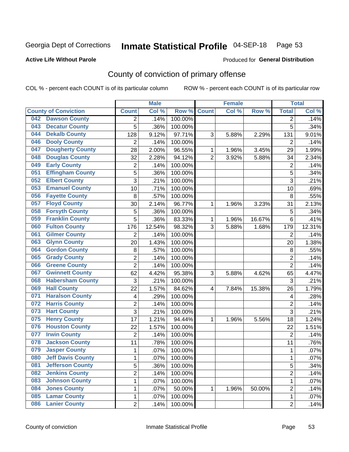## Inmate Statistical Profile 04-SEP-18 Page 53

#### **Active Life Without Parole**

#### Produced for General Distribution

## County of conviction of primary offense

COL % - percent each COUNT is of its particular column

|                                 |                 | <b>Male</b> |                  |                | <b>Female</b> |        |                | <b>Total</b> |
|---------------------------------|-----------------|-------------|------------------|----------------|---------------|--------|----------------|--------------|
| <b>County of Conviction</b>     | <b>Count</b>    | Col %       | Row <sup>%</sup> | <b>Count</b>   | Col %         | Row %  | <b>Total</b>   | Col %        |
| <b>Dawson County</b><br>042     | 2               | .14%        | 100.00%          |                |               |        | $\overline{2}$ | .14%         |
| <b>Decatur County</b><br>043    | 5               | .36%        | 100.00%          |                |               |        | 5              | .34%         |
| <b>Dekalb County</b><br>044     | 128             | 9.12%       | 97.71%           | 3              | 5.88%         | 2.29%  | 131            | 9.01%        |
| <b>Dooly County</b><br>046      | 2               | .14%        | 100.00%          |                |               |        | 2              | .14%         |
| <b>Dougherty County</b><br>047  | 28              | 2.00%       | 96.55%           | 1              | 1.96%         | 3.45%  | 29             | 1.99%        |
| <b>Douglas County</b><br>048    | 32              | 2.28%       | 94.12%           | $\overline{2}$ | 3.92%         | 5.88%  | 34             | 2.34%        |
| <b>Early County</b><br>049      | $\overline{2}$  | .14%        | 100.00%          |                |               |        | $\overline{2}$ | .14%         |
| <b>Effingham County</b><br>051  | 5               | .36%        | 100.00%          |                |               |        | 5              | .34%         |
| <b>Elbert County</b><br>052     | 3               | .21%        | 100.00%          |                |               |        | 3              | .21%         |
| <b>Emanuel County</b><br>053    | 10              | .71%        | 100.00%          |                |               |        | 10             | .69%         |
| <b>Fayette County</b><br>056    | 8               | .57%        | 100.00%          |                |               |        | 8              | .55%         |
| <b>Floyd County</b><br>057      | 30              | 2.14%       | 96.77%           | 1              | 1.96%         | 3.23%  | 31             | 2.13%        |
| <b>Forsyth County</b><br>058    | 5               | .36%        | 100.00%          |                |               |        | 5              | .34%         |
| <b>Franklin County</b><br>059   | 5               | .36%        | 83.33%           | 1              | 1.96%         | 16.67% | 6              | .41%         |
| <b>Fulton County</b><br>060     | 176             | 12.54%      | 98.32%           | 3              | 5.88%         | 1.68%  | 179            | 12.31%       |
| <b>Gilmer County</b><br>061     | $\overline{2}$  | .14%        | 100.00%          |                |               |        | 2              | .14%         |
| <b>Glynn County</b><br>063      | 20              | 1.43%       | 100.00%          |                |               |        | 20             | 1.38%        |
| <b>Gordon County</b><br>064     | 8               | .57%        | 100.00%          |                |               |        | 8              | .55%         |
| <b>Grady County</b><br>065      | $\overline{2}$  | .14%        | 100.00%          |                |               |        | $\overline{2}$ | .14%         |
| <b>Greene County</b><br>066     | $\overline{2}$  | .14%        | 100.00%          |                |               |        | $\overline{2}$ | .14%         |
| <b>Gwinnett County</b><br>067   | 62              | 4.42%       | 95.38%           | 3              | 5.88%         | 4.62%  | 65             | 4.47%        |
| <b>Habersham County</b><br>068  | 3               | .21%        | 100.00%          |                |               |        | 3              | .21%         |
| <b>Hall County</b><br>069       | 22              | 1.57%       | 84.62%           | 4              | 7.84%         | 15.38% | 26             | 1.79%        |
| <b>Haralson County</b><br>071   | 4               | .29%        | 100.00%          |                |               |        | 4              | .28%         |
| <b>Harris County</b><br>072     | $\overline{c}$  | .14%        | 100.00%          |                |               |        | $\overline{2}$ | .14%         |
| <b>Hart County</b><br>073       | $\overline{3}$  | .21%        | 100.00%          |                |               |        | 3              | .21%         |
| <b>Henry County</b><br>075      | $\overline{17}$ | 1.21%       | 94.44%           | 1              | 1.96%         | 5.56%  | 18             | 1.24%        |
| <b>Houston County</b><br>076    | 22              | 1.57%       | 100.00%          |                |               |        | 22             | 1.51%        |
| <b>Irwin County</b><br>077      | $\overline{2}$  | .14%        | 100.00%          |                |               |        | $\overline{2}$ | .14%         |
| <b>Jackson County</b><br>078    | 11              | .78%        | 100.00%          |                |               |        | 11             | .76%         |
| <b>Jasper County</b><br>079     | 1               | .07%        | 100.00%          |                |               |        | 1              | .07%         |
| 080<br><b>Jeff Davis County</b> | 1               | .07%        | 100.00%          |                |               |        | 1              | .07%         |
| <b>Jefferson County</b><br>081  | $\overline{5}$  | .36%        | 100.00%          |                |               |        | $\overline{5}$ | .34%         |
| <b>Jenkins County</b><br>082    | $\overline{2}$  | .14%        | 100.00%          |                |               |        | $\overline{2}$ | .14%         |
| <b>Johnson County</b><br>083    | 1               | .07%        | 100.00%          |                |               |        | $\mathbf 1$    | .07%         |
| <b>Jones County</b><br>084      | 1               | .07%        | 50.00%           | 1              | 1.96%         | 50.00% | $\overline{c}$ | .14%         |
| <b>Lamar County</b><br>085      | 1               | .07%        | 100.00%          |                |               |        | 1              | .07%         |
| <b>Lanier County</b><br>086     | $\overline{2}$  | .14%        | 100.00%          |                |               |        | $\overline{2}$ | .14%         |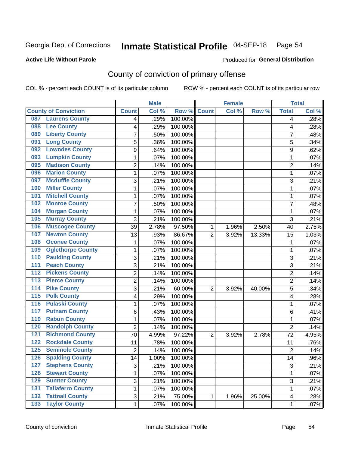## Inmate Statistical Profile 04-SEP-18 Page 54

#### **Active Life Without Parole**

#### Produced for General Distribution

## County of conviction of primary offense

COL % - percent each COUNT is of its particular column

|                                           |                 | <b>Male</b> |                  |                | <b>Female</b> |        |                 | <b>Total</b> |
|-------------------------------------------|-----------------|-------------|------------------|----------------|---------------|--------|-----------------|--------------|
| <b>County of Conviction</b>               | <b>Count</b>    | Col %       | Row <sup>%</sup> | <b>Count</b>   | Col %         | Row %  | <b>Total</b>    | Col %        |
| <b>Laurens County</b><br>087              | 4               | .29%        | 100.00%          |                |               |        | 4               | .28%         |
| <b>Lee County</b><br>088                  | 4               | .29%        | 100.00%          |                |               |        | 4               | .28%         |
| <b>Liberty County</b><br>089              | 7               | .50%        | 100.00%          |                |               |        | 7               | .48%         |
| <b>Long County</b><br>091                 | 5               | .36%        | 100.00%          |                |               |        | 5               | .34%         |
| <b>Lowndes County</b><br>092              | 9               | .64%        | 100.00%          |                |               |        | 9               | .62%         |
| <b>Lumpkin County</b><br>093              | 1               | .07%        | 100.00%          |                |               |        | $\mathbf{1}$    | .07%         |
| <b>Madison County</b><br>095              | 2               | .14%        | 100.00%          |                |               |        | $\overline{2}$  | .14%         |
| <b>Marion County</b><br>096               | 1               | .07%        | 100.00%          |                |               |        | $\mathbf{1}$    | .07%         |
| <b>Mcduffie County</b><br>097             | 3               | .21%        | 100.00%          |                |               |        | 3               | .21%         |
| <b>Miller County</b><br>100               | 1               | .07%        | 100.00%          |                |               |        | 1               | .07%         |
| <b>Mitchell County</b><br>101             | 1               | .07%        | 100.00%          |                |               |        | 1               | .07%         |
| <b>Monroe County</b><br>102               | $\overline{7}$  | .50%        | 100.00%          |                |               |        | $\overline{7}$  | .48%         |
| <b>Morgan County</b><br>104               | 1               | .07%        | 100.00%          |                |               |        | 1               | .07%         |
| <b>Murray County</b><br>105               | 3               | .21%        | 100.00%          |                |               |        | 3               | .21%         |
| <b>Muscogee County</b><br>106             | 39              | 2.78%       | 97.50%           | 1              | 1.96%         | 2.50%  | 40              | 2.75%        |
| <b>Newton County</b><br>107               | 13              | .93%        | 86.67%           | $\overline{2}$ | 3.92%         | 13.33% | 15              | 1.03%        |
| <b>Oconee County</b><br>108               | 1               | .07%        | 100.00%          |                |               |        | 1               | .07%         |
| <b>Oglethorpe County</b><br>109           | 1               | .07%        | 100.00%          |                |               |        | 1               | .07%         |
| <b>Paulding County</b><br>110             | 3               | .21%        | 100.00%          |                |               |        | 3               | .21%         |
| <b>Peach County</b><br>111                | 3               | .21%        | 100.00%          |                |               |        | $\overline{3}$  | .21%         |
| <b>Pickens County</b><br>112              | $\overline{2}$  | .14%        | 100.00%          |                |               |        | 2               | .14%         |
| <b>Pierce County</b><br>$\overline{113}$  | $\overline{2}$  | .14%        | 100.00%          |                |               |        | $\overline{c}$  | .14%         |
| <b>Pike County</b><br>$\overline{114}$    | 3               | .21%        | 60.00%           | $\overline{2}$ | 3.92%         | 40.00% | 5               | .34%         |
| <b>Polk County</b><br>$\overline{115}$    | 4               | .29%        | 100.00%          |                |               |        | 4               | .28%         |
| <b>Pulaski County</b><br>$\overline{116}$ | 1               | .07%        | 100.00%          |                |               |        | 1               | .07%         |
| <b>Putnam County</b><br>117               | 6               | .43%        | 100.00%          |                |               |        | 6               | .41%         |
| <b>Rabun County</b><br>119                | 1               | .07%        | 100.00%          |                |               |        | 1               | .07%         |
| <b>Randolph County</b><br>120             | $\overline{2}$  | .14%        | 100.00%          |                |               |        | $\overline{2}$  | .14%         |
| <b>Richmond County</b><br>121             | 70              | 4.99%       | 97.22%           | $\overline{2}$ | 3.92%         | 2.78%  | 72              | 4.95%        |
| <b>Rockdale County</b><br>122             | 11              | .78%        | 100.00%          |                |               |        | 11              | .76%         |
| <b>Seminole County</b><br>125             | 2               | .14%        | 100.00%          |                |               |        | $\overline{2}$  | .14%         |
| 126<br><b>Spalding County</b>             | $\overline{14}$ | 1.00%       | 100.00%          |                |               |        | $\overline{14}$ | .96%         |
| <b>Stephens County</b><br>127             | 3               | .21%        | 100.00%          |                |               |        | 3               | .21%         |
| 128<br><b>Stewart County</b>              | 1               | .07%        | 100.00%          |                |               |        | $\mathbf{1}$    | .07%         |
| <b>Sumter County</b><br>129               | 3               | .21%        | 100.00%          |                |               |        | 3               | .21%         |
| <b>Taliaferro County</b><br>131           | 1               | .07%        | 100.00%          |                |               |        | $\mathbf{1}$    | .07%         |
| <b>Tattnall County</b><br>132             | 3               | .21%        | 75.00%           | 1              | 1.96%         | 25.00% | 4               | .28%         |
| <b>Taylor County</b><br>$\overline{133}$  | $\mathbf{1}$    | .07%        | 100.00%          |                |               |        | 1               | .07%         |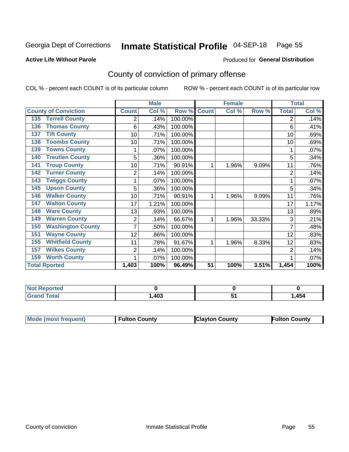## Inmate Statistical Profile 04-SEP-18 Page 55

**Active Life Without Parole** 

Produced for General Distribution

## County of conviction of primary offense

COL % - percent each COUNT is of its particular column

|                                 | <b>Male</b>    |                           | <b>Female</b> |              |       | <b>Total</b> |                |       |
|---------------------------------|----------------|---------------------------|---------------|--------------|-------|--------------|----------------|-------|
| <b>County of Conviction</b>     | <b>Count</b>   | $\overline{\text{Col}}$ % | Row %         | <b>Count</b> | Col % | Row %        | <b>Total</b>   | Col % |
| <b>Terrell County</b><br>135    | 2              | .14%                      | 100.00%       |              |       |              | 2              | .14%  |
| <b>Thomas County</b><br>136     | 6              | .43%                      | 100.00%       |              |       |              | 6              | .41%  |
| <b>Tift County</b><br>137       | 10             | .71%                      | 100.00%       |              |       |              | 10             | .69%  |
| <b>Toombs County</b><br>138     | 10             | .71%                      | 100.00%       |              |       |              | 10             | .69%  |
| <b>Towns County</b><br>139      |                | .07%                      | 100.00%       |              |       |              |                | .07%  |
| <b>Treutlen County</b><br>140   | 5              | .36%                      | 100.00%       |              |       |              | 5              | .34%  |
| <b>Troup County</b><br>141      | 10             | .71%                      | 90.91%        | 1            | 1.96% | 9.09%        | 11             | .76%  |
| <b>Turner County</b><br>142     | $\overline{2}$ | .14%                      | 100.00%       |              |       |              | $\overline{2}$ | .14%  |
| <b>Twiggs County</b><br>143     |                | .07%                      | 100.00%       |              |       |              |                | .07%  |
| <b>Upson County</b><br>145      | 5              | .36%                      | 100.00%       |              |       |              | 5              | .34%  |
| <b>Walker County</b><br>146     | 10             | .71%                      | 90.91%        | 1            | 1.96% | 9.09%        | 11             | .76%  |
| <b>Walton County</b><br>147     | 17             | 1.21%                     | 100.00%       |              |       |              | 17             | 1.17% |
| <b>Ware County</b><br>148       | 13             | .93%                      | 100.00%       |              |       |              | 13             | .89%  |
| <b>Warren County</b><br>149     | 2              | .14%                      | 66.67%        | 1            | 1.96% | 33.33%       | 3              | .21%  |
| <b>Washington County</b><br>150 |                | .50%                      | 100.00%       |              |       |              | 7              | .48%  |
| <b>Wayne County</b><br>151      | 12             | .86%                      | 100.00%       |              |       |              | 12             | .83%  |
| <b>Whitfield County</b><br>155  | 11             | .78%                      | 91.67%        | 1            | 1.96% | 8.33%        | 12             | .83%  |
| <b>Wilkes County</b><br>157     | 2              | .14%                      | 100.00%       |              |       |              | $\overline{2}$ | .14%  |
| <b>Worth County</b><br>159      | 1              | .07%                      | 100.00%       |              |       |              |                | .07%  |
| <b>Total Rported</b>            | 1,403          | 100%                      | 96.49%        | 51           | 100%  | 3.51%        | 1,454          | 100%  |

| prted<br>NOT        |      |     |     |
|---------------------|------|-----|-----|
| $f \circ f \circ f$ | ,403 | . . | 454 |

| Mode (most frequent) | <b>Fulton County</b> | <b>IClayton County</b> | Fulton County |
|----------------------|----------------------|------------------------|---------------|
|                      |                      |                        |               |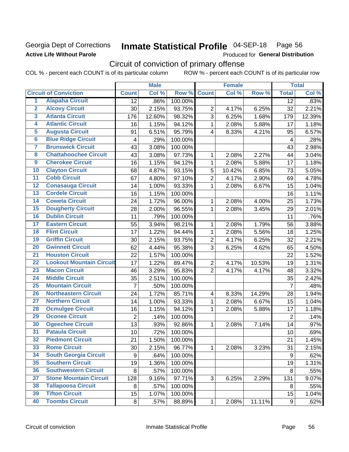### Georgia Dept of Corrections **Active Life Without Parole**

## Inmate Statistical Profile 04-SEP-18 Page 56

Produced for General Distribution

## Circuit of conviction of primary offense

COL % - percent each COUNT is of its particular column ROW % - percent each COUNT is of its particular row

|                         |                                 |                         | <b>Male</b> |         |                | <b>Female</b> |        |                         | <b>Total</b> |
|-------------------------|---------------------------------|-------------------------|-------------|---------|----------------|---------------|--------|-------------------------|--------------|
|                         | <b>Circuit of Conviction</b>    | <b>Count</b>            | Col %       | Row %   | <b>Count</b>   | Col %         | Row %  | <b>Total</b>            | Col %        |
| 1                       | <b>Alapaha Circuit</b>          | 12                      | .86%        | 100.00% |                |               |        | 12                      | .83%         |
| $\overline{2}$          | <b>Alcovy Circuit</b>           | 30                      | 2.15%       | 93.75%  | $\overline{2}$ | 4.17%         | 6.25%  | 32                      | 2.21%        |
| $\overline{\mathbf{3}}$ | <b>Atlanta Circuit</b>          | 176                     | 12.60%      | 98.32%  | 3              | 6.25%         | 1.68%  | 179                     | 12.39%       |
| 4                       | <b>Atlantic Circuit</b>         | 16                      | 1.15%       | 94.12%  | $\mathbf{1}$   | 2.08%         | 5.88%  | 17                      | 1.18%        |
| $\overline{\mathbf{5}}$ | <b>Augusta Circuit</b>          | 91                      | 6.51%       | 95.79%  | $\overline{4}$ | 8.33%         | 4.21%  | 95                      | 6.57%        |
| $\overline{6}$          | <b>Blue Ridge Circuit</b>       | $\overline{\mathbf{4}}$ | .29%        | 100.00% |                |               |        | $\overline{\mathbf{4}}$ | .28%         |
| 7                       | <b>Brunswick Circuit</b>        | 43                      | 3.08%       | 100.00% |                |               |        | 43                      | 2.98%        |
| 8                       | <b>Chattahoochee Circuit</b>    | 43                      | 3.08%       | 97.73%  | 1              | 2.08%         | 2.27%  | 44                      | 3.04%        |
| $\overline{9}$          | <b>Cherokee Circuit</b>         | 16                      | 1.15%       | 94.12%  | 1              | 2.08%         | 5.88%  | 17                      | 1.18%        |
| 10                      | <b>Clayton Circuit</b>          | 68                      | 4.87%       | 93.15%  | 5              | 10.42%        | 6.85%  | 73                      | 5.05%        |
| $\overline{11}$         | <b>Cobb Circuit</b>             | 67                      | 4.80%       | 97.10%  | $\overline{2}$ | 4.17%         | 2.90%  | 69                      | 4.78%        |
| $\overline{12}$         | <b>Conasauga Circuit</b>        | 14                      | 1.00%       | 93.33%  | $\mathbf{1}$   | 2.08%         | 6.67%  | 15                      | 1.04%        |
| $\overline{13}$         | <b>Cordele Circuit</b>          | 16                      | 1.15%       | 100.00% |                |               |        | 16                      | 1.11%        |
| $\overline{14}$         | <b>Coweta Circuit</b>           | 24                      | 1.72%       | 96.00%  | $\mathbf{1}$   | 2.08%         | 4.00%  | 25                      | 1.73%        |
| $\overline{15}$         | <b>Dougherty Circuit</b>        | 28                      | 2.00%       | 96.55%  | $\mathbf{1}$   | 2.08%         | 3.45%  | 29                      | 2.01%        |
| 16                      | <b>Dublin Circuit</b>           | 11                      | .79%        | 100.00% |                |               |        | 11                      | .76%         |
| $\overline{17}$         | <b>Eastern Circuit</b>          | 55                      | 3.94%       | 98.21%  | 1              | 2.08%         | 1.79%  | 56                      | 3.88%        |
| $\overline{18}$         | <b>Flint Circuit</b>            | 17                      | 1.22%       | 94.44%  | $\mathbf{1}$   | 2.08%         | 5.56%  | 18                      | 1.25%        |
| 19                      | <b>Griffin Circuit</b>          | 30                      | 2.15%       | 93.75%  | $\overline{2}$ | 4.17%         | 6.25%  | 32                      | 2.21%        |
| 20                      | <b>Gwinnett Circuit</b>         | 62                      | 4.44%       | 95.38%  | 3              | 6.25%         | 4.62%  | 65                      | 4.50%        |
| $\overline{21}$         | <b>Houston Circuit</b>          | 22                      | 1.57%       | 100.00% |                |               |        | 22                      | 1.52%        |
| $\overline{22}$         | <b>Lookout Mountain Circuit</b> | 17                      | 1.22%       | 89.47%  | $\overline{2}$ | 4.17%         | 10.53% | 19                      | 1.31%        |
| 23                      | <b>Macon Circuit</b>            | 46                      | 3.29%       | 95.83%  | $\overline{2}$ | 4.17%         | 4.17%  | 48                      | 3.32%        |
| 24                      | <b>Middle Circuit</b>           | 35                      | 2.51%       | 100.00% |                |               |        | 35                      | 2.42%        |
| $\overline{25}$         | <b>Mountain Circuit</b>         | $\overline{7}$          | .50%        | 100.00% |                |               |        | $\overline{7}$          | .48%         |
| 26                      | <b>Northeastern Circuit</b>     | 24                      | 1.72%       | 85.71%  | 4              | 8.33%         | 14.29% | 28                      | 1.94%        |
| $\overline{27}$         | <b>Northern Circuit</b>         | 14                      | 1.00%       | 93.33%  | 1              | 2.08%         | 6.67%  | 15                      | 1.04%        |
| 28                      | <b>Ocmulgee Circuit</b>         | 16                      | 1.15%       | 94.12%  | 1              | 2.08%         | 5.88%  | 17                      | 1.18%        |
| 29                      | <b>Oconee Circuit</b>           | $\overline{2}$          | .14%        | 100.00% |                |               |        | $\overline{2}$          | .14%         |
| 30                      | <b>Ogeechee Circuit</b>         | 13                      | .93%        | 92.86%  | 1              | 2.08%         | 7.14%  | 14                      | .97%         |
| $\overline{31}$         | <b>Pataula Circuit</b>          | 10                      | .72%        | 100.00% |                |               |        | 10                      | .69%         |
| 32                      | <b>Piedmont Circuit</b>         | 21                      | 1.50%       | 100.00% |                |               |        | 21                      | 1.45%        |
| 33                      | <b>Rome Circuit</b>             | 30                      | 2.15%       | 96.77%  | $\mathbf{1}$   | 2.08%         | 3.23%  | 31                      | 2.15%        |
| 34                      | <b>South Georgia Circuit</b>    | $\boldsymbol{9}$        | .64%        | 100.00% |                |               |        | 9                       | .62%         |
| 35                      | <b>Southern Circuit</b>         | 19                      | 1.36%       | 100.00% |                |               |        | 19                      | 1.31%        |
| 36                      | <b>Southwestern Circuit</b>     | 8                       | .57%        | 100.00% |                |               |        | 8                       | .55%         |
| 37                      | <b>Stone Mountain Circuit</b>   | 128                     | 9.16%       | 97.71%  | 3              | 6.25%         | 2.29%  | 131                     | 9.07%        |
| 38                      | <b>Tallapoosa Circuit</b>       | 8                       | .57%        | 100.00% |                |               |        | 8                       | .55%         |
| 39                      | <b>Tifton Circuit</b>           | 15                      | 1.07%       | 100.00% |                |               |        | 15                      | 1.04%        |
| 40                      | <b>Toombs Circuit</b>           | 8                       | .57%        | 88.89%  | $\mathbf{1}$   | 2.08%         | 11.11% | 9                       | .62%         |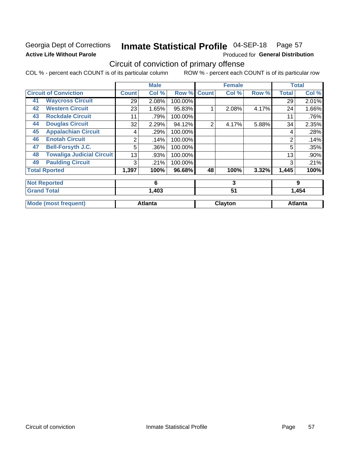## Georgia Dept of Corrections **Active Life Without Parole**

#### Inmate Statistical Profile 04-SEP-18 Page 57

Produced for General Distribution

## Circuit of conviction of primary offense

COL % - percent each COUNT is of its particular column ROW % - percent each COUNT is of its particular row

|    |                                  |       | <b>Male</b>    |         |              | <b>Female</b> |       | <b>Total</b>   |                |
|----|----------------------------------|-------|----------------|---------|--------------|---------------|-------|----------------|----------------|
|    | <b>Circuit of Conviction</b>     | Count | Col %          | Row %   | <b>Count</b> | Col %         | Row % | <b>Total</b>   | Col %          |
| 41 | <b>Waycross Circuit</b>          | 29    | 2.08%          | 100.00% |              |               |       | 29             | 2.01%          |
| 42 | <b>Western Circuit</b>           | 23    | 1.65%          | 95.83%  |              | 2.08%         | 4.17% | 24             | 1.66%          |
| 43 | <b>Rockdale Circuit</b>          | 11    | .79%           | 100.00% |              |               |       | 11             | .76%           |
| 44 | <b>Douglas Circuit</b>           | 32    | 2.29%          | 94.12%  | 2            | 4.17%         | 5.88% | 34             | 2.35%          |
| 45 | <b>Appalachian Circuit</b>       | 4     | .29%           | 100.00% |              |               |       | 4              | .28%           |
| 46 | <b>Enotah Circuit</b>            | 2     | .14%           | 100.00% |              |               |       | $\overline{2}$ | .14%           |
| 47 | <b>Bell-Forsyth J.C.</b>         | 5     | .36%           | 100.00% |              |               |       | 5              | .35%           |
| 48 | <b>Towaliga Judicial Circuit</b> | 13    | .93%           | 100.00% |              |               |       | 13             | .90%           |
| 49 | <b>Paulding Circuit</b>          | 3     | .21%           | 100.00% |              |               |       | 3              | .21%           |
|    | <b>Total Rported</b>             | 1,397 | 100%           | 96.68%  | 48           | 100%          | 3.32% | 1,445          | 100%           |
|    | <b>Not Reported</b>              |       | 6              |         |              | 3             |       |                | 9              |
|    | <b>Grand Total</b>               |       | 1,403          |         |              | 51            |       |                | 1,454          |
|    | <b>Mode (most frequent)</b>      |       | <b>Atlanta</b> |         |              | Clayton       |       |                | <b>Atlanta</b> |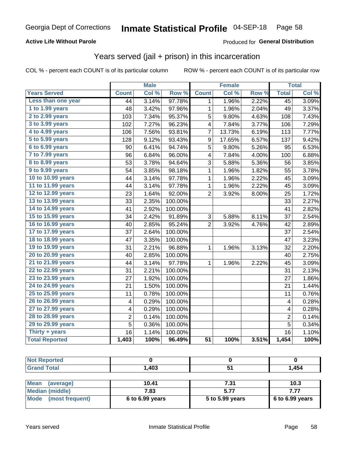### **Active Life Without Parole**

#### Produced for General Distribution

## Years served (jail + prison) in this incarceration

COL % - percent each COUNT is of its particular column

|                       | <b>Male</b>    |       | Female           |                 |        | <b>Total</b> |                 |       |
|-----------------------|----------------|-------|------------------|-----------------|--------|--------------|-----------------|-------|
| <b>Years Served</b>   | <b>Count</b>   | Col % | Row <sup>%</sup> | <b>Count</b>    | Col %  | Row %        | <b>Total</b>    | Col % |
| Less than one year    | 44             | 3.14% | 97.78%           | 1               | 1.96%  | 2.22%        | $\overline{45}$ | 3.09% |
| 1 to 1.99 years       | 48             | 3.42% | 97.96%           | 1               | 1.96%  | 2.04%        | 49              | 3.37% |
| 2 to 2.99 years       | 103            | 7.34% | 95.37%           | 5               | 9.80%  | 4.63%        | 108             | 7.43% |
| 3 to 3.99 years       | 102            | 7.27% | 96.23%           | 4               | 7.84%  | 3.77%        | 106             | 7.29% |
| 4 to 4.99 years       | 106            | 7.56% | 93.81%           | 7               | 13.73% | 6.19%        | 113             | 7.77% |
| 5 to 5.99 years       | 128            | 9.12% | 93.43%           | 9               | 17.65% | 6.57%        | 137             | 9.42% |
| 6 to 6.99 years       | 90             | 6.41% | 94.74%           | 5               | 9.80%  | 5.26%        | 95              | 6.53% |
| 7 to 7.99 years       | 96             | 6.84% | 96.00%           | 4               | 7.84%  | 4.00%        | 100             | 6.88% |
| 8 to 8.99 years       | 53             | 3.78% | 94.64%           | 3               | 5.88%  | 5.36%        | 56              | 3.85% |
| 9 to 9.99 years       | 54             | 3.85% | 98.18%           | $\mathbf 1$     | 1.96%  | 1.82%        | 55              | 3.78% |
| 10 to 10.99 years     | 44             | 3.14% | 97.78%           | $\mathbf 1$     | 1.96%  | 2.22%        | 45              | 3.09% |
| 11 to 11.99 years     | 44             | 3.14% | 97.78%           | 1               | 1.96%  | 2.22%        | 45              | 3.09% |
| 12 to 12.99 years     | 23             | 1.64% | 92.00%           | $\overline{2}$  | 3.92%  | 8.00%        | 25              | 1.72% |
| 13 to 13.99 years     | 33             | 2.35% | 100.00%          |                 |        |              | 33              | 2.27% |
| 14 to 14.99 years     | 41             | 2.92% | 100.00%          |                 |        |              | 41              | 2.82% |
| 15 to 15.99 years     | 34             | 2.42% | 91.89%           | 3               | 5.88%  | 8.11%        | 37              | 2.54% |
| 16 to 16.99 years     | 40             | 2.85% | 95.24%           | 2               | 3.92%  | 4.76%        | 42              | 2.89% |
| 17 to 17.99 years     | 37             | 2.64% | 100.00%          |                 |        |              | 37              | 2.54% |
| 18 to 18.99 years     | 47             | 3.35% | 100.00%          |                 |        |              | 47              | 3.23% |
| 19 to 19.99 years     | 31             | 2.21% | 96.88%           | 1               | 1.96%  | 3.13%        | 32              | 2.20% |
| 20 to 20.99 years     | 40             | 2.85% | 100.00%          |                 |        |              | 40              | 2.75% |
| 21 to 21.99 years     | 44             | 3.14% | 97.78%           | 1               | 1.96%  | 2.22%        | 45              | 3.09% |
| 22 to 22.99 years     | 31             | 2.21% | 100.00%          |                 |        |              | 31              | 2.13% |
| 23 to 23.99 years     | 27             | 1.92% | 100.00%          |                 |        |              | 27              | 1.86% |
| 24 to 24.99 years     | 21             | 1.50% | 100.00%          |                 |        |              | 21              | 1.44% |
| 25 to 25.99 years     | 11             | 0.78% | 100.00%          |                 |        |              | 11              | 0.76% |
| 26 to 26.99 years     | 4              | 0.29% | 100.00%          |                 |        |              | 4               | 0.28% |
| 27 to 27.99 years     | 4              | 0.29% | 100.00%          |                 |        |              | 4               | 0.28% |
| 28 to 28.99 years     | $\overline{2}$ | 0.14% | 100.00%          |                 |        |              | $\overline{2}$  | 0.14% |
| 29 to 29.99 years     | 5              | 0.36% | 100.00%          |                 |        |              | 5               | 0.34% |
| Thirty + years        | 16             | 1.14% | 100.00%          |                 |        |              | 16              | 1.10% |
| <b>Total Reported</b> | 1,403          | 100%  | 96.49%           | $\overline{51}$ | 100%   | 3.51%        | 1,454           | 100%  |

| <b>Not Reported</b>                                             |       |      |       |  |
|-----------------------------------------------------------------|-------|------|-------|--|
| <b>Grand Total</b>                                              | 1,403 |      | 1,454 |  |
|                                                                 |       |      |       |  |
| <b>Mean</b><br>(average)                                        | 10.41 | 7.31 | 10.3  |  |
| $\mathbf{M}$ and $\mathbf{M}$ and $\mathbf{M}$ and $\mathbf{M}$ | 700   | E 77 | 777   |  |

| $11.0411$ $14.01490$           | .                 | .               |                 |
|--------------------------------|-------------------|-----------------|-----------------|
| <b>Median (middle)</b>         | 7.83              |                 |                 |
| <b>Mode</b><br>(most frequent) | $6$ to 6.99 years | 5 to 5.99 years | 6 to 6.99 years |
|                                |                   |                 |                 |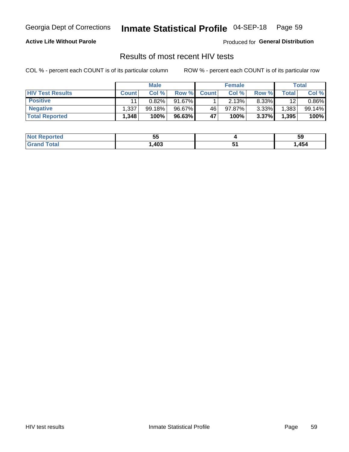#### Inmate Statistical Profile 04-SEP-18 Page 59

#### **Active Life Without Parole**

Produced for General Distribution

## Results of most recent HIV tests

COL % - percent each COUNT is of its particular column

|                         | <b>Male</b>  |        |        | <b>Female</b> |        |          | Total |          |
|-------------------------|--------------|--------|--------|---------------|--------|----------|-------|----------|
| <b>HIV Test Results</b> | <b>Count</b> | Col %  | Row %I | <b>Count</b>  | Col %  | Row %    | Total | Col %    |
| <b>Positive</b>         |              | 0.82%  | 91.67% |               | 2.13%  | $8.33\%$ | 12    | $0.86\%$ |
| <b>Negative</b>         | 1,337        | 99.18% | 96.67% | 46            | 97.87% | $3.33\%$ | 1,383 | 99.14%   |
| <b>Total Reported</b>   | 1,348        | 100%   | 96.63% | 47            | 100%   | 3.37%    | 1,395 | 100%     |

| المنصلات للمنادر<br>∣ N∩t∶<br>oortea | --<br>JJ |     | ວະ   |
|--------------------------------------|----------|-----|------|
| $\sim$ $\sim$<br>计调整程序               | ,403     | . . | ,454 |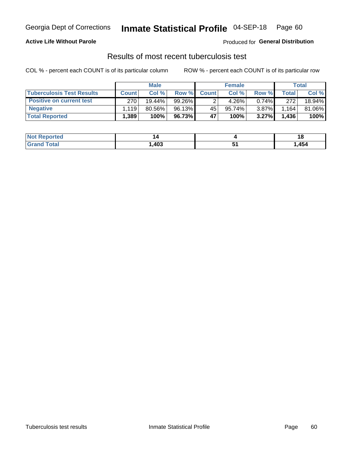## Georgia Dept of Corrections **Inmate Statistical Profile** 04-SEP-18 Page 60

#### **Active Life Without Parole**

Produced for **General Distribution**

## Results of most recent tuberculosis test

COL % - percent each COUNT is of its particular column ROW % - percent each COUNT is of its particular row

|                                  | <b>Male</b>        |        |        | <b>Female</b> |         |          | Total        |        |
|----------------------------------|--------------------|--------|--------|---------------|---------|----------|--------------|--------|
| <b>Tuberculosis Test Results</b> | <b>Count</b>       | Col%   | Row %I | <b>Count</b>  | Col %   | Row %I   | <b>Total</b> | Col %  |
| <b>Positive on current test</b>  | 270                | 19.44% | 99.26% |               | 4.26%   | $0.74\%$ | 272          | 18.94% |
| <b>Negative</b>                  | 1.119              | 80.56% | 96.13% | 45            | 95.74%। | $3.87\%$ | .164         | 81.06% |
| <b>Total Reported</b>            | $.389$ $^{\prime}$ | 100%   | 96.73% | 47            | 100%    | 3.27%    | 1,436        | 100%   |

| <b>Not Reported</b> |      |      |
|---------------------|------|------|
| Total               | ,403 | ,454 |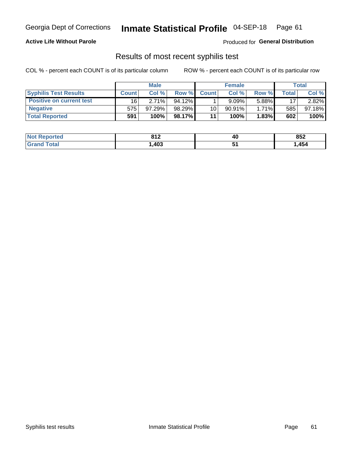## Georgia Dept of Corrections **Inmate Statistical Profile** 04-SEP-18 Page 61

#### **Active Life Without Parole**

Produced for **General Distribution**

### Results of most recent syphilis test

COL % - percent each COUNT is of its particular column ROW % - percent each COUNT is of its particular row

|                                 | <b>Male</b>  |           |           | <b>Female</b> |           |              | Total |        |
|---------------------------------|--------------|-----------|-----------|---------------|-----------|--------------|-------|--------|
| <b>Syphilis Test Results</b>    | <b>Count</b> | Col%      | Row %     | <b>Count</b>  | Col %     | <b>Row %</b> | Total | Col %  |
| <b>Positive on current test</b> | 16           | 2.71%     | $94.12\%$ |               | 9.09%     | 5.88%        | 17    | 2.82%  |
| <b>Negative</b>                 | 575          | $97.29\%$ | 98.29%    | 10            | $90.91\%$ | $1.71\%$     | 585   | 97.18% |
| <b>Total Reported</b>           | 591          | 100%      | 98.17%    | 11            | 100%      | 1.83%        | 602   | 100%   |

| <b>Not Reported</b>    | 942<br>O L | 40 | 852  |
|------------------------|------------|----|------|
| <b>Total</b><br>'Grand | ,403       | ◡  | ,454 |